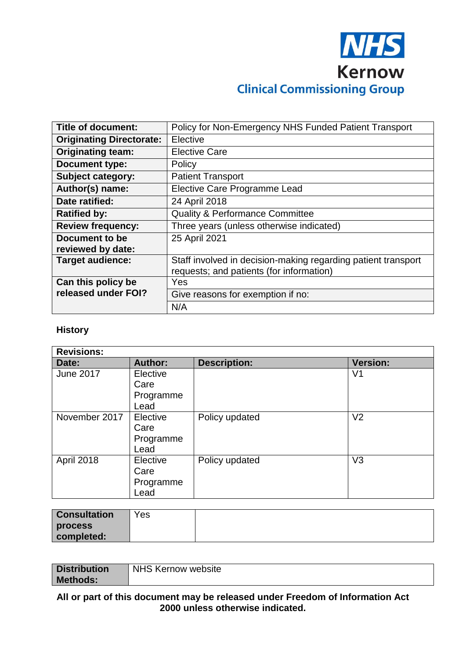

| <b>Title of document:</b>       | Policy for Non-Emergency NHS Funded Patient Transport                                                     |  |  |
|---------------------------------|-----------------------------------------------------------------------------------------------------------|--|--|
| <b>Originating Directorate:</b> | Elective                                                                                                  |  |  |
| <b>Originating team:</b>        | <b>Elective Care</b>                                                                                      |  |  |
| <b>Document type:</b>           | Policy                                                                                                    |  |  |
| <b>Subject category:</b>        | <b>Patient Transport</b>                                                                                  |  |  |
| Author(s) name:                 | Elective Care Programme Lead                                                                              |  |  |
| Date ratified:                  | 24 April 2018                                                                                             |  |  |
| <b>Ratified by:</b>             | <b>Quality &amp; Performance Committee</b>                                                                |  |  |
| <b>Review frequency:</b>        | Three years (unless otherwise indicated)                                                                  |  |  |
| Document to be                  | 25 April 2021                                                                                             |  |  |
| reviewed by date:               |                                                                                                           |  |  |
| Target audience:                | Staff involved in decision-making regarding patient transport<br>requests; and patients (for information) |  |  |
|                                 |                                                                                                           |  |  |
| Can this policy be              | Yes                                                                                                       |  |  |
| released under FOI?             | Give reasons for exemption if no:                                                                         |  |  |
|                                 | N/A                                                                                                       |  |  |

#### **History**

| <b>Revisions:</b> |                                       |                     |                 |
|-------------------|---------------------------------------|---------------------|-----------------|
| Date:             | <b>Author:</b>                        | <b>Description:</b> | <b>Version:</b> |
| <b>June 2017</b>  | Elective<br>Care<br>Programme<br>Lead |                     | V <sub>1</sub>  |
| November 2017     | Elective<br>Care<br>Programme<br>Lead | Policy updated      | V <sub>2</sub>  |
| April 2018        | Elective<br>Care<br>Programme<br>Lead | Policy updated      | V <sub>3</sub>  |

| <b>Consultation</b> | Yes |  |
|---------------------|-----|--|
| process             |     |  |
| completed:          |     |  |

| <b>Distribution</b> | <b>NHS Kernow website</b> |
|---------------------|---------------------------|
| <b>Methods:</b>     |                           |

#### **All or part of this document may be released under Freedom of Information Act 2000 unless otherwise indicated.**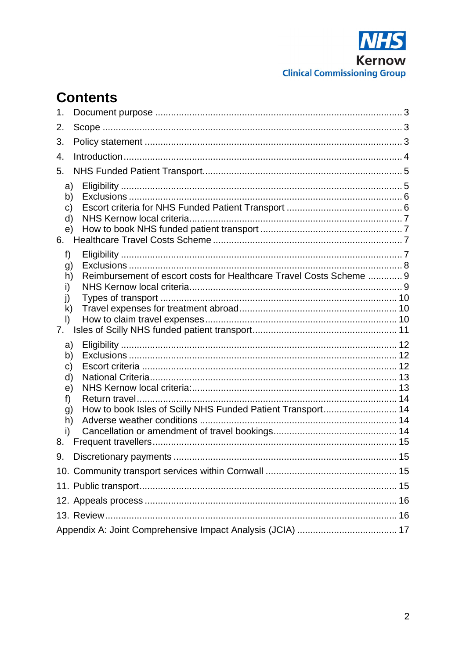

# **Contents**

| 1.                                                               |                                                                     |  |
|------------------------------------------------------------------|---------------------------------------------------------------------|--|
| 2.                                                               |                                                                     |  |
| 3.                                                               |                                                                     |  |
| 4.                                                               |                                                                     |  |
| 5.                                                               |                                                                     |  |
| a)<br>b)<br>C)<br>d)<br>e)<br>6.                                 |                                                                     |  |
| f)<br>g)<br>h)<br>i)<br>j)<br>$\mathsf{k}$<br>$\mathsf{I}$<br>7. | Reimbursement of escort costs for Healthcare Travel Costs Scheme  9 |  |
| a)<br>b)<br>C)<br>d)<br>e)<br>f)<br>g)<br>h)<br>i)<br>8.         |                                                                     |  |
|                                                                  |                                                                     |  |
|                                                                  |                                                                     |  |
|                                                                  |                                                                     |  |
|                                                                  |                                                                     |  |
|                                                                  |                                                                     |  |
|                                                                  |                                                                     |  |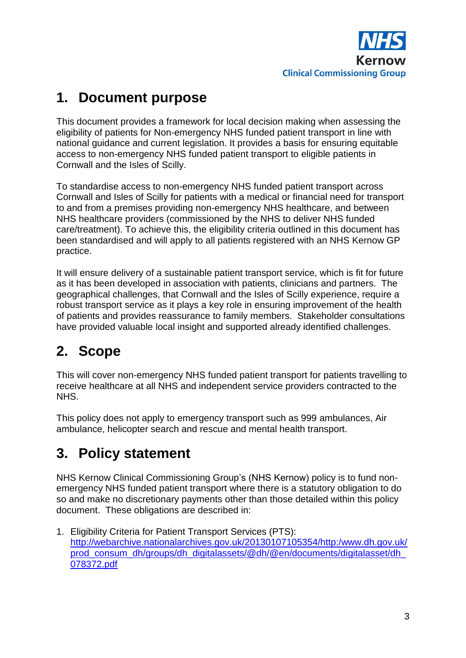

# <span id="page-2-0"></span>**1. Document purpose**

This document provides a framework for local decision making when assessing the eligibility of patients for Non-emergency NHS funded patient transport in line with national guidance and current legislation. It provides a basis for ensuring equitable access to non-emergency NHS funded patient transport to eligible patients in Cornwall and the Isles of Scilly.

To standardise access to non-emergency NHS funded patient transport across Cornwall and Isles of Scilly for patients with a medical or financial need for transport to and from a premises providing non-emergency NHS healthcare, and between NHS healthcare providers (commissioned by the NHS to deliver NHS funded care/treatment). To achieve this, the eligibility criteria outlined in this document has been standardised and will apply to all patients registered with an NHS Kernow GP practice.

It will ensure delivery of a sustainable patient transport service, which is fit for future as it has been developed in association with patients, clinicians and partners. The geographical challenges, that Cornwall and the Isles of Scilly experience, require a robust transport service as it plays a key role in ensuring improvement of the health of patients and provides reassurance to family members. Stakeholder consultations have provided valuable local insight and supported already identified challenges.

# <span id="page-2-1"></span>**2. Scope**

This will cover non-emergency NHS funded patient transport for patients travelling to receive healthcare at all NHS and independent service providers contracted to the NHS.

This policy does not apply to emergency transport such as 999 ambulances, Air ambulance, helicopter search and rescue and mental health transport.

# <span id="page-2-2"></span>**3. Policy statement**

NHS Kernow Clinical Commissioning Group's (NHS Kernow) policy is to fund nonemergency NHS funded patient transport where there is a statutory obligation to do so and make no discretionary payments other than those detailed within this policy document. These obligations are described in:

1. Eligibility Criteria for Patient Transport Services (PTS): [http://webarchive.nationalarchives.gov.uk/20130107105354/http:/www.dh.gov.uk/](http://webarchive.nationalarchives.gov.uk/20130107105354/http:/www.dh.gov.uk/prod_consum_dh/groups/dh_digitalassets/@dh/@en/documents/digitalasset/dh_078372.pdf) [prod\\_consum\\_dh/groups/dh\\_digitalassets/@dh/@en/documents/digitalasset/dh\\_](http://webarchive.nationalarchives.gov.uk/20130107105354/http:/www.dh.gov.uk/prod_consum_dh/groups/dh_digitalassets/@dh/@en/documents/digitalasset/dh_078372.pdf) [078372.pdf](http://webarchive.nationalarchives.gov.uk/20130107105354/http:/www.dh.gov.uk/prod_consum_dh/groups/dh_digitalassets/@dh/@en/documents/digitalasset/dh_078372.pdf)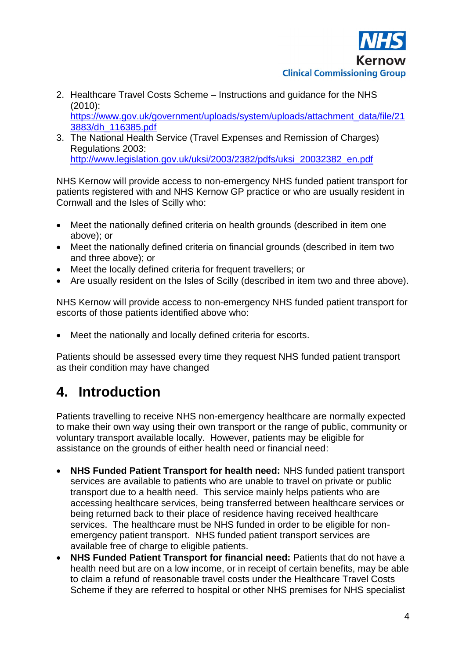

- 2. Healthcare Travel Costs Scheme Instructions and guidance for the NHS (2010): [https://www.gov.uk/government/uploads/system/uploads/attachment\\_data/file/21](https://www.gov.uk/government/uploads/system/uploads/attachment_data/file/213883/dh_116385.pdf) [3883/dh\\_116385.pdf](https://www.gov.uk/government/uploads/system/uploads/attachment_data/file/213883/dh_116385.pdf)
- 3. The National Health Service (Travel Expenses and Remission of Charges) Regulations 2003: [http://www.legislation.gov.uk/uksi/2003/2382/pdfs/uksi\\_20032382\\_en.pdf](http://www.legislation.gov.uk/uksi/2003/2382/pdfs/uksi_20032382_en.pdf)

NHS Kernow will provide access to non-emergency NHS funded patient transport for patients registered with and NHS Kernow GP practice or who are usually resident in Cornwall and the Isles of Scilly who:

- Meet the nationally defined criteria on health grounds (described in item one above); or
- Meet the nationally defined criteria on financial grounds (described in item two and three above); or
- Meet the locally defined criteria for frequent travellers; or
- Are usually resident on the Isles of Scilly (described in item two and three above).

NHS Kernow will provide access to non-emergency NHS funded patient transport for escorts of those patients identified above who:

Meet the nationally and locally defined criteria for escorts.

Patients should be assessed every time they request NHS funded patient transport as their condition may have changed

### <span id="page-3-0"></span>**4. Introduction**

Patients travelling to receive NHS non-emergency healthcare are normally expected to make their own way using their own transport or the range of public, community or voluntary transport available locally. However, patients may be eligible for assistance on the grounds of either health need or financial need:

- **NHS Funded Patient Transport for health need:** NHS funded patient transport services are available to patients who are unable to travel on private or public transport due to a health need. This service mainly helps patients who are accessing healthcare services, being transferred between healthcare services or being returned back to their place of residence having received healthcare services. The healthcare must be NHS funded in order to be eligible for nonemergency patient transport. NHS funded patient transport services are available free of charge to eligible patients.
- **NHS Funded Patient Transport for financial need:** Patients that do not have a health need but are on a low income, or in receipt of certain benefits, may be able to claim a refund of reasonable travel costs under the Healthcare Travel Costs Scheme if they are referred to hospital or other NHS premises for NHS specialist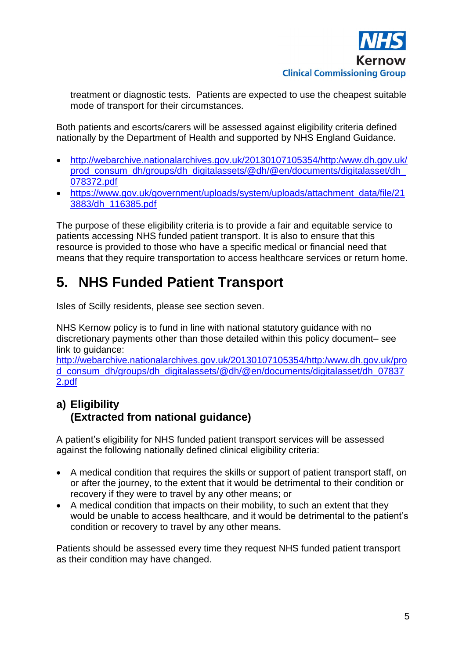

treatment or diagnostic tests. Patients are expected to use the cheapest suitable mode of transport for their circumstances.

Both patients and escorts/carers will be assessed against eligibility criteria defined nationally by the Department of Health and supported by NHS England Guidance.

- [http://webarchive.nationalarchives.gov.uk/20130107105354/http:/www.dh.gov.uk/](http://webarchive.nationalarchives.gov.uk/20130107105354/http:/www.dh.gov.uk/prod_consum_dh/groups/dh_digitalassets/@dh/@en/documents/digitalasset/dh_078372.pdf) prod\_consum\_dh/groups/dh\_digitalassets/@dh/@en/documents/digitalasset/dh [078372.pdf](http://webarchive.nationalarchives.gov.uk/20130107105354/http:/www.dh.gov.uk/prod_consum_dh/groups/dh_digitalassets/@dh/@en/documents/digitalasset/dh_078372.pdf)
- [https://www.gov.uk/government/uploads/system/uploads/attachment\\_data/file/21](https://www.gov.uk/government/uploads/system/uploads/attachment_data/file/213883/dh_116385.pdf) [3883/dh\\_116385.pdf](https://www.gov.uk/government/uploads/system/uploads/attachment_data/file/213883/dh_116385.pdf)

The purpose of these eligibility criteria is to provide a fair and equitable service to patients accessing NHS funded patient transport. It is also to ensure that this resource is provided to those who have a specific medical or financial need that means that they require transportation to access healthcare services or return home.

## <span id="page-4-0"></span>**5. NHS Funded Patient Transport**

Isles of Scilly residents, please see section seven.

NHS Kernow policy is to fund in line with national statutory guidance with no discretionary payments other than those detailed within this policy document– see link to guidance:

[http://webarchive.nationalarchives.gov.uk/20130107105354/http:/www.dh.gov.uk/pro](http://webarchive.nationalarchives.gov.uk/20130107105354/http:/www.dh.gov.uk/prod_consum_dh/groups/dh_digitalassets/@dh/@en/documents/digitalasset/dh_078372.pdf) [d\\_consum\\_dh/groups/dh\\_digitalassets/@dh/@en/documents/digitalasset/dh\\_07837](http://webarchive.nationalarchives.gov.uk/20130107105354/http:/www.dh.gov.uk/prod_consum_dh/groups/dh_digitalassets/@dh/@en/documents/digitalasset/dh_078372.pdf) [2.pdf](http://webarchive.nationalarchives.gov.uk/20130107105354/http:/www.dh.gov.uk/prod_consum_dh/groups/dh_digitalassets/@dh/@en/documents/digitalasset/dh_078372.pdf)

### <span id="page-4-1"></span>**a) Eligibility (Extracted from national guidance)**

A patient's eligibility for NHS funded patient transport services will be assessed against the following nationally defined clinical eligibility criteria:

- A medical condition that requires the skills or support of patient transport staff, on or after the journey, to the extent that it would be detrimental to their condition or recovery if they were to travel by any other means; or
- A medical condition that impacts on their mobility, to such an extent that they would be unable to access healthcare, and it would be detrimental to the patient's condition or recovery to travel by any other means.

Patients should be assessed every time they request NHS funded patient transport as their condition may have changed.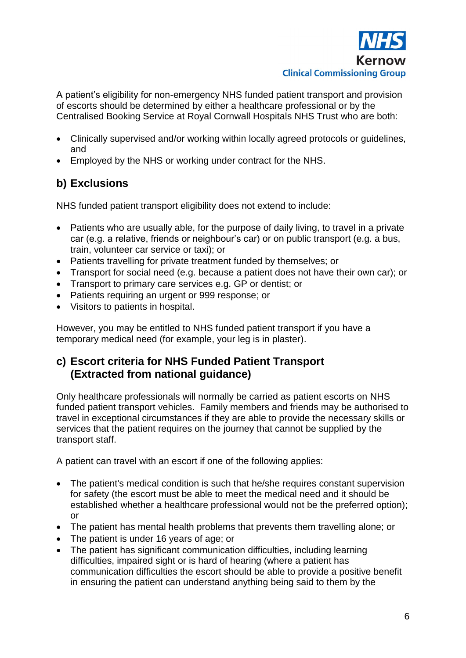

A patient's eligibility for non-emergency NHS funded patient transport and provision of escorts should be determined by either a healthcare professional or by the Centralised Booking Service at Royal Cornwall Hospitals NHS Trust who are both:

- Clinically supervised and/or working within locally agreed protocols or guidelines, and
- Employed by the NHS or working under contract for the NHS.

### <span id="page-5-0"></span>**b) Exclusions**

NHS funded patient transport eligibility does not extend to include:

- Patients who are usually able, for the purpose of daily living, to travel in a private car (e.g. a relative, friends or neighbour's car) or on public transport (e.g. a bus, train, volunteer car service or taxi); or
- Patients travelling for private treatment funded by themselves; or
- Transport for social need (e.g. because a patient does not have their own car); or
- Transport to primary care services e.g. GP or dentist; or
- Patients requiring an urgent or 999 response; or
- Visitors to patients in hospital.

However, you may be entitled to NHS funded patient transport if you have a temporary medical need (for example, your leg is in plaster).

#### <span id="page-5-1"></span>**c) Escort criteria for NHS Funded Patient Transport (Extracted from national guidance)**

Only healthcare professionals will normally be carried as patient escorts on NHS funded patient transport vehicles. Family members and friends may be authorised to travel in exceptional circumstances if they are able to provide the necessary skills or services that the patient requires on the journey that cannot be supplied by the transport staff.

A patient can travel with an escort if one of the following applies:

- The patient's medical condition is such that he/she requires constant supervision for safety (the escort must be able to meet the medical need and it should be established whether a healthcare professional would not be the preferred option); or
- The patient has mental health problems that prevents them travelling alone; or
- The patient is under 16 years of age; or
- The patient has significant communication difficulties, including learning difficulties, impaired sight or is hard of hearing (where a patient has communication difficulties the escort should be able to provide a positive benefit in ensuring the patient can understand anything being said to them by the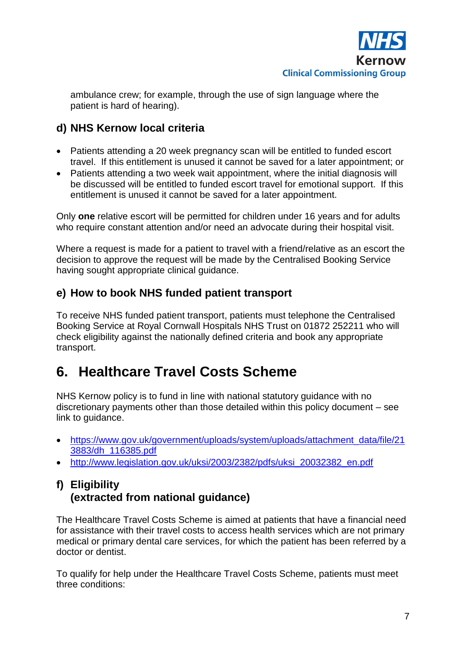

ambulance crew; for example, through the use of sign language where the patient is hard of hearing).

### <span id="page-6-0"></span>**d) NHS Kernow local criteria**

- Patients attending a 20 week pregnancy scan will be entitled to funded escort travel. If this entitlement is unused it cannot be saved for a later appointment; or
- Patients attending a two week wait appointment, where the initial diagnosis will be discussed will be entitled to funded escort travel for emotional support. If this entitlement is unused it cannot be saved for a later appointment.

Only **one** relative escort will be permitted for children under 16 years and for adults who require constant attention and/or need an advocate during their hospital visit.

Where a request is made for a patient to travel with a friend/relative as an escort the decision to approve the request will be made by the Centralised Booking Service having sought appropriate clinical guidance.

#### <span id="page-6-1"></span>**e) How to book NHS funded patient transport**

To receive NHS funded patient transport, patients must telephone the Centralised Booking Service at Royal Cornwall Hospitals NHS Trust on 01872 252211 who will check eligibility against the nationally defined criteria and book any appropriate transport.

## <span id="page-6-2"></span>**6. Healthcare Travel Costs Scheme**

NHS Kernow policy is to fund in line with national statutory guidance with no discretionary payments other than those detailed within this policy document – see link to guidance.

- [https://www.gov.uk/government/uploads/system/uploads/attachment\\_data/file/21](https://www.gov.uk/government/uploads/system/uploads/attachment_data/file/213883/dh_116385.pdf) [3883/dh\\_116385.pdf](https://www.gov.uk/government/uploads/system/uploads/attachment_data/file/213883/dh_116385.pdf)
- [http://www.legislation.gov.uk/uksi/2003/2382/pdfs/uksi\\_20032382\\_en.pdf](http://www.legislation.gov.uk/uksi/2003/2382/pdfs/uksi_20032382_en.pdf)

#### <span id="page-6-3"></span>**f) Eligibility (extracted from national guidance)**

The Healthcare Travel Costs Scheme is aimed at patients that have a financial need for assistance with their travel costs to access health services which are not primary medical or primary dental care services, for which the patient has been referred by a doctor or dentist.

To qualify for help under the Healthcare Travel Costs Scheme, patients must meet three conditions: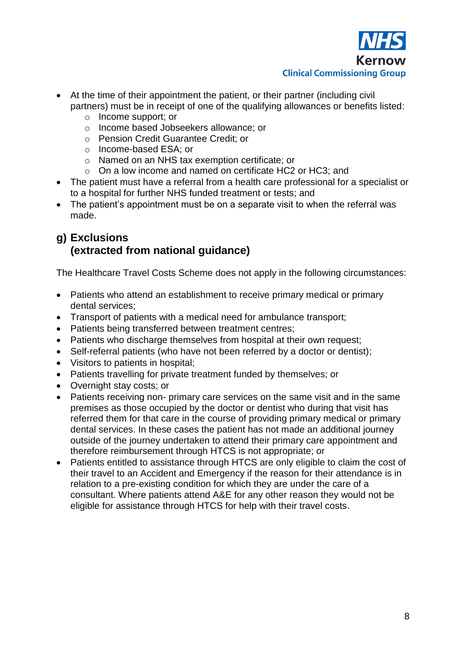

- At the time of their appointment the patient, or their partner (including civil partners) must be in receipt of one of the qualifying allowances or benefits listed:
	- o Income support; or
	- o Income based Jobseekers allowance; or
	- o Pension Credit Guarantee Credit; or
	- o Income-based ESA; or
	- o Named on an NHS tax exemption certificate; or
	- o On a low income and named on certificate HC2 or HC3; and
- The patient must have a referral from a health care professional for a specialist or to a hospital for further NHS funded treatment or tests; and
- The patient's appointment must be on a separate visit to when the referral was made.

### <span id="page-7-0"></span>**g) Exclusions (extracted from national guidance)**

The Healthcare Travel Costs Scheme does not apply in the following circumstances:

- Patients who attend an establishment to receive primary medical or primary dental services;
- Transport of patients with a medical need for ambulance transport;
- Patients being transferred between treatment centres;
- Patients who discharge themselves from hospital at their own request;
- Self-referral patients (who have not been referred by a doctor or dentist);
- Visitors to patients in hospital;
- Patients travelling for private treatment funded by themselves; or
- Overnight stay costs; or
- Patients receiving non- primary care services on the same visit and in the same premises as those occupied by the doctor or dentist who during that visit has referred them for that care in the course of providing primary medical or primary dental services. In these cases the patient has not made an additional journey outside of the journey undertaken to attend their primary care appointment and therefore reimbursement through HTCS is not appropriate; or
- Patients entitled to assistance through HTCS are only eligible to claim the cost of their travel to an Accident and Emergency if the reason for their attendance is in relation to a pre-existing condition for which they are under the care of a consultant. Where patients attend A&E for any other reason they would not be eligible for assistance through HTCS for help with their travel costs.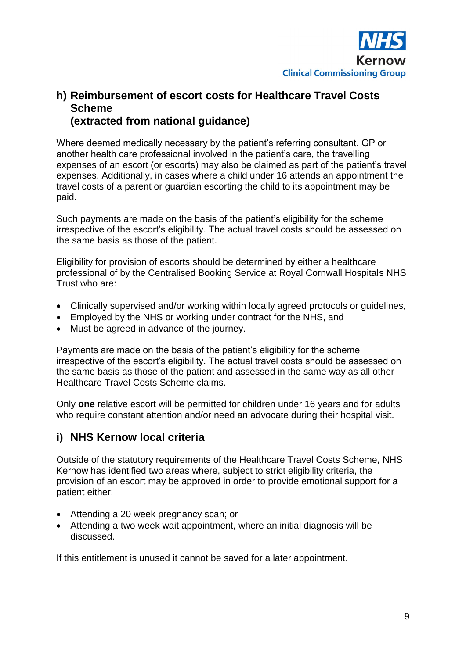

#### <span id="page-8-0"></span>**h) Reimbursement of escort costs for Healthcare Travel Costs Scheme (extracted from national guidance)**

Where deemed medically necessary by the patient's referring consultant, GP or another health care professional involved in the patient's care, the travelling expenses of an escort (or escorts) may also be claimed as part of the patient's travel expenses. Additionally, in cases where a child under 16 attends an appointment the travel costs of a parent or guardian escorting the child to its appointment may be paid.

Such payments are made on the basis of the patient's eligibility for the scheme irrespective of the escort's eligibility. The actual travel costs should be assessed on the same basis as those of the patient.

Eligibility for provision of escorts should be determined by either a healthcare professional of by the Centralised Booking Service at Royal Cornwall Hospitals NHS Trust who are:

- Clinically supervised and/or working within locally agreed protocols or guidelines,
- Employed by the NHS or working under contract for the NHS, and
- Must be agreed in advance of the journey.

Payments are made on the basis of the patient's eligibility for the scheme irrespective of the escort's eligibility. The actual travel costs should be assessed on the same basis as those of the patient and assessed in the same way as all other Healthcare Travel Costs Scheme claims.

Only **one** relative escort will be permitted for children under 16 years and for adults who require constant attention and/or need an advocate during their hospital visit.

#### <span id="page-8-1"></span>**i) NHS Kernow local criteria**

Outside of the statutory requirements of the Healthcare Travel Costs Scheme, NHS Kernow has identified two areas where, subject to strict eligibility criteria, the provision of an escort may be approved in order to provide emotional support for a patient either:

- Attending a 20 week pregnancy scan; or
- Attending a two week wait appointment, where an initial diagnosis will be discussed.

If this entitlement is unused it cannot be saved for a later appointment.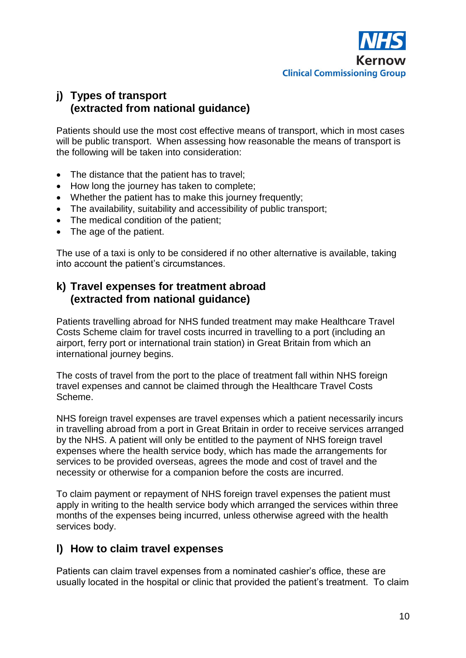

### <span id="page-9-0"></span>**j) Types of transport (extracted from national guidance)**

Patients should use the most cost effective means of transport, which in most cases will be public transport. When assessing how reasonable the means of transport is the following will be taken into consideration:

- The distance that the patient has to travel;
- How long the journey has taken to complete;
- Whether the patient has to make this journey frequently:
- The availability, suitability and accessibility of public transport;
- The medical condition of the patient;
- The age of the patient.

The use of a taxi is only to be considered if no other alternative is available, taking into account the patient's circumstances.

### <span id="page-9-1"></span>**k) Travel expenses for treatment abroad (extracted from national guidance)**

Patients travelling abroad for NHS funded treatment may make Healthcare Travel Costs Scheme claim for travel costs incurred in travelling to a port (including an airport, ferry port or international train station) in Great Britain from which an international journey begins.

The costs of travel from the port to the place of treatment fall within NHS foreign travel expenses and cannot be claimed through the Healthcare Travel Costs Scheme.

NHS foreign travel expenses are travel expenses which a patient necessarily incurs in travelling abroad from a port in Great Britain in order to receive services arranged by the NHS. A patient will only be entitled to the payment of NHS foreign travel expenses where the health service body, which has made the arrangements for services to be provided overseas, agrees the mode and cost of travel and the necessity or otherwise for a companion before the costs are incurred.

To claim payment or repayment of NHS foreign travel expenses the patient must apply in writing to the health service body which arranged the services within three months of the expenses being incurred, unless otherwise agreed with the health services body.

#### <span id="page-9-2"></span>**l) How to claim travel expenses**

Patients can claim travel expenses from a nominated cashier's office, these are usually located in the hospital or clinic that provided the patient's treatment. To claim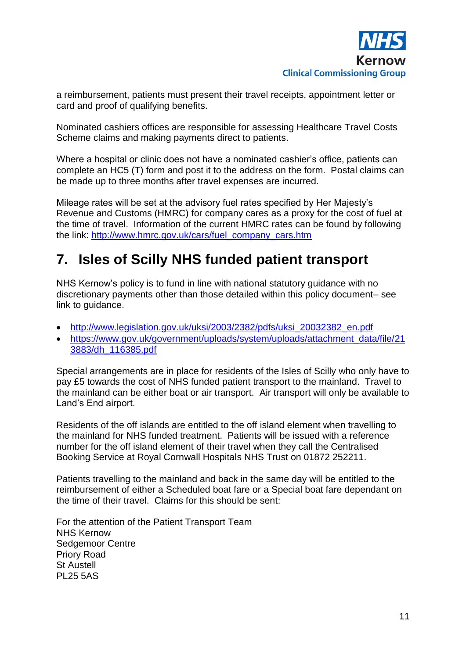

a reimbursement, patients must present their travel receipts, appointment letter or card and proof of qualifying benefits.

Nominated cashiers offices are responsible for assessing Healthcare Travel Costs Scheme claims and making payments direct to patients.

Where a hospital or clinic does not have a nominated cashier's office, patients can complete an HC5 (T) form and post it to the address on the form. Postal claims can be made up to three months after travel expenses are incurred.

Mileage rates will be set at the advisory fuel rates specified by Her Majesty's Revenue and Customs (HMRC) for company cares as a proxy for the cost of fuel at the time of travel. Information of the current HMRC rates can be found by following the link: [http://www.hmrc.gov.uk/cars/fuel\\_company\\_cars.htm](http://www.hmrc.gov.uk/cars/fuel_company_cars.htm)

## <span id="page-10-0"></span>**7. Isles of Scilly NHS funded patient transport**

NHS Kernow's policy is to fund in line with national statutory guidance with no discretionary payments other than those detailed within this policy document– see link to guidance.

- [http://www.legislation.gov.uk/uksi/2003/2382/pdfs/uksi\\_20032382\\_en.pdf](http://www.legislation.gov.uk/uksi/2003/2382/pdfs/uksi_20032382_en.pdf)
- [https://www.gov.uk/government/uploads/system/uploads/attachment\\_data/file/21](https://www.gov.uk/government/uploads/system/uploads/attachment_data/file/213883/dh_116385.pdf) [3883/dh\\_116385.pdf](https://www.gov.uk/government/uploads/system/uploads/attachment_data/file/213883/dh_116385.pdf)

Special arrangements are in place for residents of the Isles of Scilly who only have to pay £5 towards the cost of NHS funded patient transport to the mainland. Travel to the mainland can be either boat or air transport. Air transport will only be available to Land's End airport.

Residents of the off islands are entitled to the off island element when travelling to the mainland for NHS funded treatment. Patients will be issued with a reference number for the off island element of their travel when they call the Centralised Booking Service at Royal Cornwall Hospitals NHS Trust on 01872 252211.

Patients travelling to the mainland and back in the same day will be entitled to the reimbursement of either a Scheduled boat fare or a Special boat fare dependant on the time of their travel. Claims for this should be sent:

For the attention of the Patient Transport Team NHS Kernow Sedgemoor Centre Priory Road St Austell PL25 5AS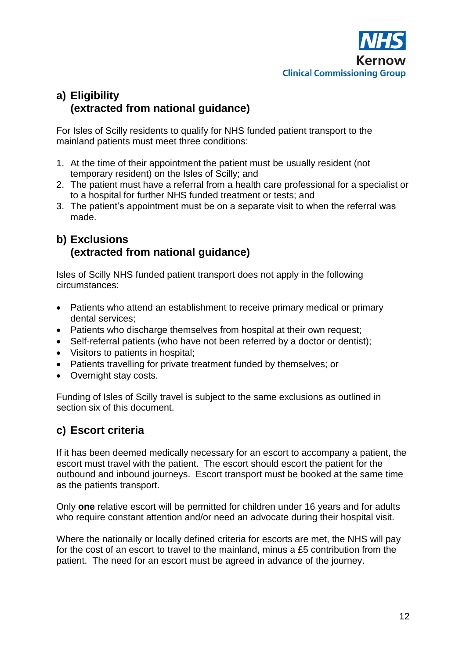

### <span id="page-11-0"></span>**a) Eligibility (extracted from national guidance)**

For Isles of Scilly residents to qualify for NHS funded patient transport to the mainland patients must meet three conditions:

- 1. At the time of their appointment the patient must be usually resident (not temporary resident) on the Isles of Scilly; and
- 2. The patient must have a referral from a health care professional for a specialist or to a hospital for further NHS funded treatment or tests; and
- 3. The patient's appointment must be on a separate visit to when the referral was made.

### <span id="page-11-1"></span>**b) Exclusions (extracted from national guidance)**

Isles of Scilly NHS funded patient transport does not apply in the following circumstances:

- Patients who attend an establishment to receive primary medical or primary dental services;
- Patients who discharge themselves from hospital at their own request:
- Self-referral patients (who have not been referred by a doctor or dentist);
- Visitors to patients in hospital;
- Patients travelling for private treatment funded by themselves; or
- Overnight stav costs.

Funding of Isles of Scilly travel is subject to the same exclusions as outlined in section six of this document.

### <span id="page-11-2"></span>**c) Escort criteria**

If it has been deemed medically necessary for an escort to accompany a patient, the escort must travel with the patient. The escort should escort the patient for the outbound and inbound journeys. Escort transport must be booked at the same time as the patients transport.

Only **one** relative escort will be permitted for children under 16 years and for adults who require constant attention and/or need an advocate during their hospital visit.

Where the nationally or locally defined criteria for escorts are met, the NHS will pay for the cost of an escort to travel to the mainland, minus a £5 contribution from the patient. The need for an escort must be agreed in advance of the journey.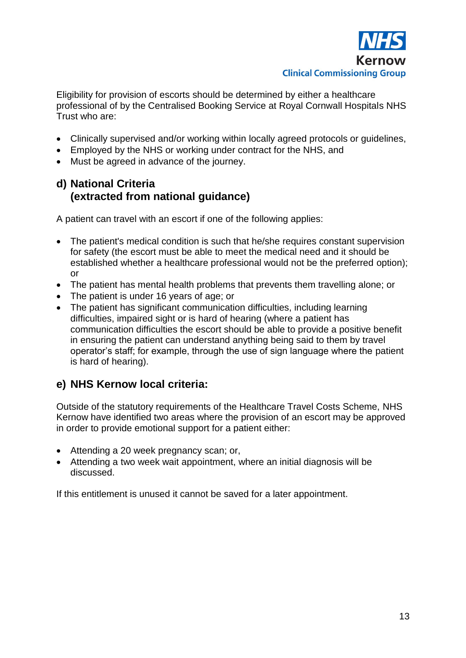

Eligibility for provision of escorts should be determined by either a healthcare professional of by the Centralised Booking Service at Royal Cornwall Hospitals NHS Trust who are:

- Clinically supervised and/or working within locally agreed protocols or guidelines,
- Employed by the NHS or working under contract for the NHS, and
- Must be agreed in advance of the journey.

#### <span id="page-12-0"></span>**d) National Criteria (extracted from national guidance)**

A patient can travel with an escort if one of the following applies:

- The patient's medical condition is such that he/she requires constant supervision for safety (the escort must be able to meet the medical need and it should be established whether a healthcare professional would not be the preferred option); or
- The patient has mental health problems that prevents them travelling alone; or
- The patient is under 16 years of age; or
- The patient has significant communication difficulties, including learning difficulties, impaired sight or is hard of hearing (where a patient has communication difficulties the escort should be able to provide a positive benefit in ensuring the patient can understand anything being said to them by travel operator's staff; for example, through the use of sign language where the patient is hard of hearing).

#### <span id="page-12-1"></span>**e) NHS Kernow local criteria:**

Outside of the statutory requirements of the Healthcare Travel Costs Scheme, NHS Kernow have identified two areas where the provision of an escort may be approved in order to provide emotional support for a patient either:

- Attending a 20 week pregnancy scan; or,
- Attending a two week wait appointment, where an initial diagnosis will be discussed.

If this entitlement is unused it cannot be saved for a later appointment.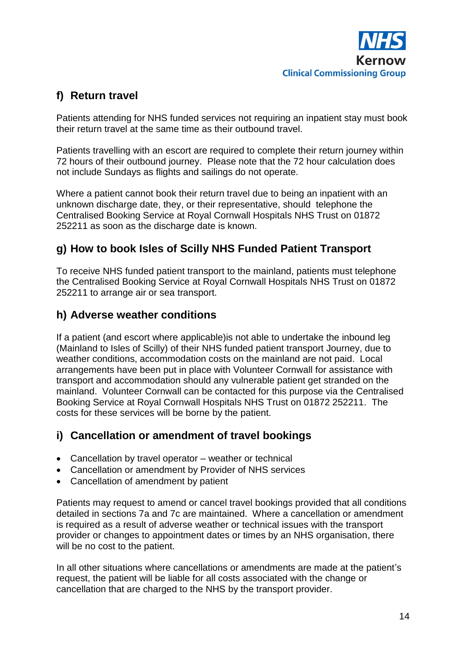

### <span id="page-13-0"></span>**f) Return travel**

Patients attending for NHS funded services not requiring an inpatient stay must book their return travel at the same time as their outbound travel.

Patients travelling with an escort are required to complete their return journey within 72 hours of their outbound journey. Please note that the 72 hour calculation does not include Sundays as flights and sailings do not operate.

Where a patient cannot book their return travel due to being an inpatient with an unknown discharge date, they, or their representative, should telephone the Centralised Booking Service at Royal Cornwall Hospitals NHS Trust on 01872 252211 as soon as the discharge date is known.

### <span id="page-13-1"></span>**g) How to book Isles of Scilly NHS Funded Patient Transport**

To receive NHS funded patient transport to the mainland, patients must telephone the Centralised Booking Service at Royal Cornwall Hospitals NHS Trust on 01872 252211 to arrange air or sea transport.

### <span id="page-13-2"></span>**h) Adverse weather conditions**

If a patient (and escort where applicable)is not able to undertake the inbound leg (Mainland to Isles of Scilly) of their NHS funded patient transport Journey, due to weather conditions, accommodation costs on the mainland are not paid. Local arrangements have been put in place with Volunteer Cornwall for assistance with transport and accommodation should any vulnerable patient get stranded on the mainland. Volunteer Cornwall can be contacted for this purpose via the Centralised Booking Service at Royal Cornwall Hospitals NHS Trust on 01872 252211. The costs for these services will be borne by the patient.

### <span id="page-13-3"></span>**i) Cancellation or amendment of travel bookings**

- Cancellation by travel operator weather or technical
- Cancellation or amendment by Provider of NHS services
- Cancellation of amendment by patient

Patients may request to amend or cancel travel bookings provided that all conditions detailed in sections 7a and 7c are maintained. Where a cancellation or amendment is required as a result of adverse weather or technical issues with the transport provider or changes to appointment dates or times by an NHS organisation, there will be no cost to the patient.

In all other situations where cancellations or amendments are made at the patient's request, the patient will be liable for all costs associated with the change or cancellation that are charged to the NHS by the transport provider.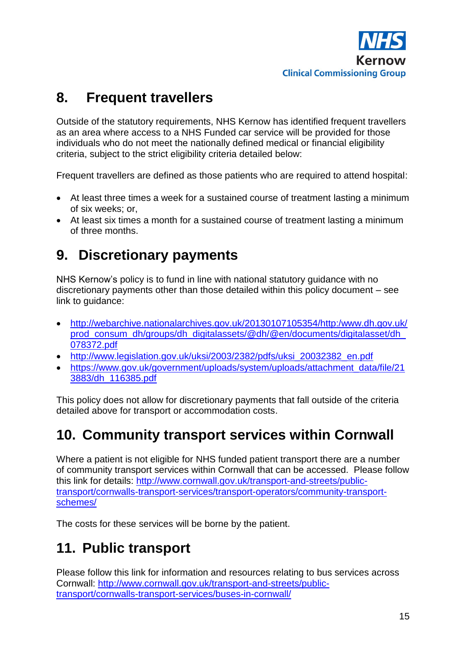

## <span id="page-14-0"></span>**8. Frequent travellers**

Outside of the statutory requirements, NHS Kernow has identified frequent travellers as an area where access to a NHS Funded car service will be provided for those individuals who do not meet the nationally defined medical or financial eligibility criteria, subject to the strict eligibility criteria detailed below:

Frequent travellers are defined as those patients who are required to attend hospital:

- At least three times a week for a sustained course of treatment lasting a minimum of six weeks; or,
- At least six times a month for a sustained course of treatment lasting a minimum of three months.

## <span id="page-14-1"></span>**9. Discretionary payments**

NHS Kernow's policy is to fund in line with national statutory guidance with no discretionary payments other than those detailed within this policy document – see link to guidance:

- [http://webarchive.nationalarchives.gov.uk/20130107105354/http:/www.dh.gov.uk/](http://webarchive.nationalarchives.gov.uk/20130107105354/http:/www.dh.gov.uk/prod_consum_dh/groups/dh_digitalassets/@dh/@en/documents/digitalasset/dh_078372.pdf) prod\_consum\_dh/groups/dh\_digitalassets/@dh/@en/documents/digitalasset/dh [078372.pdf](http://webarchive.nationalarchives.gov.uk/20130107105354/http:/www.dh.gov.uk/prod_consum_dh/groups/dh_digitalassets/@dh/@en/documents/digitalasset/dh_078372.pdf)
- [http://www.legislation.gov.uk/uksi/2003/2382/pdfs/uksi\\_20032382\\_en.pdf](http://www.legislation.gov.uk/uksi/2003/2382/pdfs/uksi_20032382_en.pdf)
- [https://www.gov.uk/government/uploads/system/uploads/attachment\\_data/file/21](https://www.gov.uk/government/uploads/system/uploads/attachment_data/file/213883/dh_116385.pdf) [3883/dh\\_116385.pdf](https://www.gov.uk/government/uploads/system/uploads/attachment_data/file/213883/dh_116385.pdf)

This policy does not allow for discretionary payments that fall outside of the criteria detailed above for transport or accommodation costs.

### <span id="page-14-2"></span>**10. Community transport services within Cornwall**

Where a patient is not eligible for NHS funded patient transport there are a number of community transport services within Cornwall that can be accessed. Please follow this link for details: [http://www.cornwall.gov.uk/transport-and-streets/public](http://www.cornwall.gov.uk/transport-and-streets/public-transport/cornwalls-transport-services/transport-operators/community-transport-schemes/)[transport/cornwalls-transport-services/transport-operators/community-transport](http://www.cornwall.gov.uk/transport-and-streets/public-transport/cornwalls-transport-services/transport-operators/community-transport-schemes/)[schemes/](http://www.cornwall.gov.uk/transport-and-streets/public-transport/cornwalls-transport-services/transport-operators/community-transport-schemes/)

The costs for these services will be borne by the patient.

## <span id="page-14-3"></span>**11. Public transport**

Please follow this link for information and resources relating to bus services across Cornwall: [http://www.cornwall.gov.uk/transport-and-streets/public](http://www.cornwall.gov.uk/transport-and-streets/public-transport/cornwalls-transport-services/buses-in-cornwall/)[transport/cornwalls-transport-services/buses-in-cornwall/](http://www.cornwall.gov.uk/transport-and-streets/public-transport/cornwalls-transport-services/buses-in-cornwall/)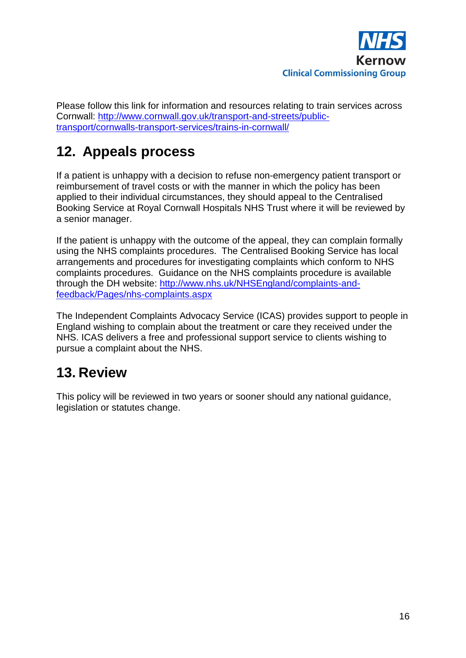

Please follow this link for information and resources relating to train services across Cornwall: [http://www.cornwall.gov.uk/transport-and-streets/public](http://www.cornwall.gov.uk/transport-and-streets/public-transport/cornwalls-transport-services/trains-in-cornwall/)[transport/cornwalls-transport-services/trains-in-cornwall/](http://www.cornwall.gov.uk/transport-and-streets/public-transport/cornwalls-transport-services/trains-in-cornwall/)

# <span id="page-15-0"></span>**12. Appeals process**

If a patient is unhappy with a decision to refuse non-emergency patient transport or reimbursement of travel costs or with the manner in which the policy has been applied to their individual circumstances, they should appeal to the Centralised Booking Service at Royal Cornwall Hospitals NHS Trust where it will be reviewed by a senior manager.

If the patient is unhappy with the outcome of the appeal, they can complain formally using the NHS complaints procedures. The Centralised Booking Service has local arrangements and procedures for investigating complaints which conform to NHS complaints procedures. Guidance on the NHS complaints procedure is available through the DH website: [http://www.nhs.uk/NHSEngland/complaints-and](http://www.nhs.uk/NHSEngland/complaints-and-feedback/Pages/nhs-complaints.aspx)[feedback/Pages/nhs-complaints.aspx](http://www.nhs.uk/NHSEngland/complaints-and-feedback/Pages/nhs-complaints.aspx)

The Independent Complaints Advocacy Service (ICAS) provides support to people in England wishing to complain about the treatment or care they received under the NHS. ICAS delivers a free and professional support service to clients wishing to pursue a complaint about the NHS.

## <span id="page-15-1"></span>**13. Review**

This policy will be reviewed in two years or sooner should any national guidance, legislation or statutes change.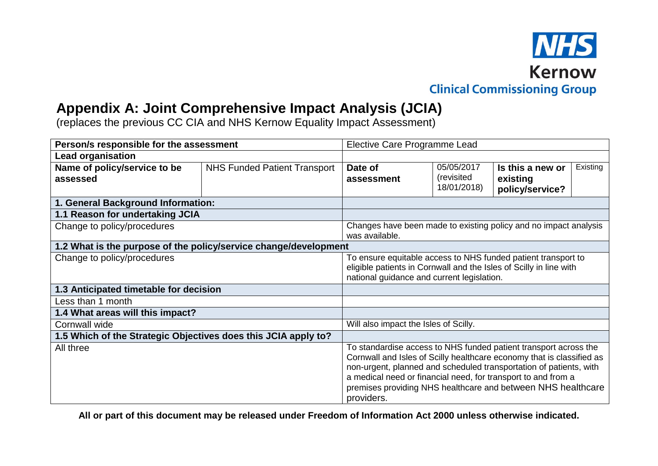

### **Appendix A: Joint Comprehensive Impact Analysis (JCIA)**

(replaces the previous CC CIA and NHS Kernow Equality Impact Assessment)

| Person/s responsible for the assessment                          |                                     | Elective Care Programme Lead                                                                                                                                                                                                                                                                                                                                   |             |                  |          |
|------------------------------------------------------------------|-------------------------------------|----------------------------------------------------------------------------------------------------------------------------------------------------------------------------------------------------------------------------------------------------------------------------------------------------------------------------------------------------------------|-------------|------------------|----------|
| <b>Lead organisation</b>                                         |                                     |                                                                                                                                                                                                                                                                                                                                                                |             |                  |          |
| Name of policy/service to be                                     | <b>NHS Funded Patient Transport</b> | Date of                                                                                                                                                                                                                                                                                                                                                        | 05/05/2017  | Is this a new or | Existing |
| assessed                                                         |                                     | assessment                                                                                                                                                                                                                                                                                                                                                     | (revisited  | existing         |          |
|                                                                  |                                     |                                                                                                                                                                                                                                                                                                                                                                | 18/01/2018) | policy/service?  |          |
| 1. General Background Information:                               |                                     |                                                                                                                                                                                                                                                                                                                                                                |             |                  |          |
| 1.1 Reason for undertaking JCIA                                  |                                     |                                                                                                                                                                                                                                                                                                                                                                |             |                  |          |
| Change to policy/procedures                                      |                                     | Changes have been made to existing policy and no impact analysis<br>was available.                                                                                                                                                                                                                                                                             |             |                  |          |
| 1.2 What is the purpose of the policy/service change/development |                                     |                                                                                                                                                                                                                                                                                                                                                                |             |                  |          |
| Change to policy/procedures                                      |                                     | To ensure equitable access to NHS funded patient transport to                                                                                                                                                                                                                                                                                                  |             |                  |          |
|                                                                  |                                     | eligible patients in Cornwall and the Isles of Scilly in line with<br>national guidance and current legislation.                                                                                                                                                                                                                                               |             |                  |          |
|                                                                  |                                     |                                                                                                                                                                                                                                                                                                                                                                |             |                  |          |
| 1.3 Anticipated timetable for decision                           |                                     |                                                                                                                                                                                                                                                                                                                                                                |             |                  |          |
| Less than 1 month                                                |                                     |                                                                                                                                                                                                                                                                                                                                                                |             |                  |          |
| 1.4 What areas will this impact?                                 |                                     |                                                                                                                                                                                                                                                                                                                                                                |             |                  |          |
| Cornwall wide                                                    |                                     | Will also impact the Isles of Scilly.                                                                                                                                                                                                                                                                                                                          |             |                  |          |
| 1.5 Which of the Strategic Objectives does this JCIA apply to?   |                                     |                                                                                                                                                                                                                                                                                                                                                                |             |                  |          |
| All three                                                        |                                     | To standardise access to NHS funded patient transport across the<br>Cornwall and Isles of Scilly healthcare economy that is classified as<br>non-urgent, planned and scheduled transportation of patients, with<br>a medical need or financial need, for transport to and from a<br>premises providing NHS healthcare and between NHS healthcare<br>providers. |             |                  |          |

<span id="page-16-0"></span>**All or part of this document may be released under Freedom of Information Act 2000 unless otherwise indicated.**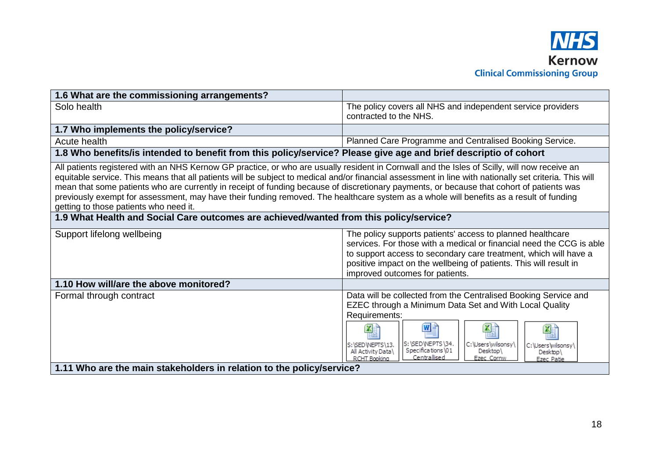

| 1.6 What are the commissioning arrangements?                                                                                                                                                                                                                                                                                                                                                                                                                                                                                                                                                                                             |                                                                                                                                                                                                                                                                                                                                                                            |  |
|------------------------------------------------------------------------------------------------------------------------------------------------------------------------------------------------------------------------------------------------------------------------------------------------------------------------------------------------------------------------------------------------------------------------------------------------------------------------------------------------------------------------------------------------------------------------------------------------------------------------------------------|----------------------------------------------------------------------------------------------------------------------------------------------------------------------------------------------------------------------------------------------------------------------------------------------------------------------------------------------------------------------------|--|
| Solo health                                                                                                                                                                                                                                                                                                                                                                                                                                                                                                                                                                                                                              | The policy covers all NHS and independent service providers<br>contracted to the NHS.                                                                                                                                                                                                                                                                                      |  |
| 1.7 Who implements the policy/service?                                                                                                                                                                                                                                                                                                                                                                                                                                                                                                                                                                                                   |                                                                                                                                                                                                                                                                                                                                                                            |  |
| Acute health                                                                                                                                                                                                                                                                                                                                                                                                                                                                                                                                                                                                                             | Planned Care Programme and Centralised Booking Service.                                                                                                                                                                                                                                                                                                                    |  |
| 1.8 Who benefits/is intended to benefit from this policy/service? Please give age and brief descriptio of cohort                                                                                                                                                                                                                                                                                                                                                                                                                                                                                                                         |                                                                                                                                                                                                                                                                                                                                                                            |  |
| All patients registered with an NHS Kernow GP practice, or who are usually resident in Cornwall and the Isles of Scilly, will now receive an<br>equitable service. This means that all patients will be subject to medical and/or financial assessment in line with nationally set criteria. This will<br>mean that some patients who are currently in receipt of funding because of discretionary payments, or because that cohort of patients was<br>previously exempt for assessment, may have their funding removed. The healthcare system as a whole will benefits as a result of funding<br>getting to those patients who need it. |                                                                                                                                                                                                                                                                                                                                                                            |  |
| 1.9 What Health and Social Care outcomes are achieved/wanted from this policy/service?                                                                                                                                                                                                                                                                                                                                                                                                                                                                                                                                                   |                                                                                                                                                                                                                                                                                                                                                                            |  |
| Support lifelong wellbeing                                                                                                                                                                                                                                                                                                                                                                                                                                                                                                                                                                                                               | The policy supports patients' access to planned healthcare<br>services. For those with a medical or financial need the CCG is able<br>to support access to secondary care treatment, which will have a<br>positive impact on the wellbeing of patients. This will result in<br>improved outcomes for patients.                                                             |  |
| 1.10 How will/are the above monitored?                                                                                                                                                                                                                                                                                                                                                                                                                                                                                                                                                                                                   |                                                                                                                                                                                                                                                                                                                                                                            |  |
| Formal through contract                                                                                                                                                                                                                                                                                                                                                                                                                                                                                                                                                                                                                  | Data will be collected from the Centralised Booking Service and<br>EZEC through a Minimum Data Set and With Local Quality<br>Requirements:<br>W<br>IЖ<br>S: \SED\NEPTS\34.<br>C:\Users\wilsonsy\<br>S:\SED\NEPTS\13.<br>C:\Users\wilsonsy\<br>Specifications \01<br>Desktop\<br>All Activity Data\<br>Desktop\<br>Centrallised<br>RCHT Booking<br>Ezec Cornw<br>Ezec Patie |  |
| 1.11 Who are the main stakeholders in relation to the policy/service?                                                                                                                                                                                                                                                                                                                                                                                                                                                                                                                                                                    |                                                                                                                                                                                                                                                                                                                                                                            |  |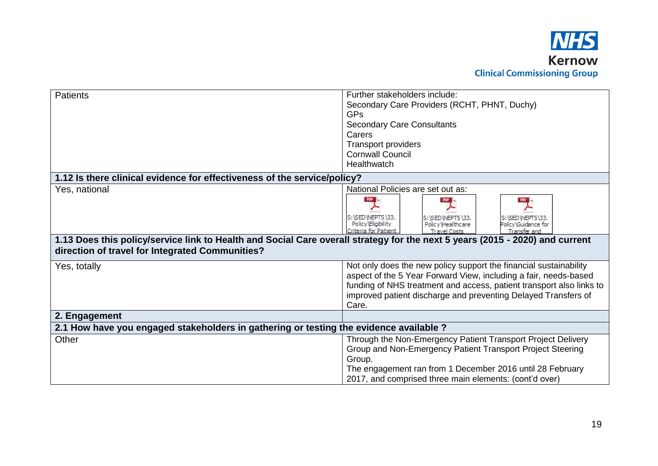

| <b>Patients</b>                                                                                                              | Further stakeholders include:                                                                                                 |  |
|------------------------------------------------------------------------------------------------------------------------------|-------------------------------------------------------------------------------------------------------------------------------|--|
|                                                                                                                              | Secondary Care Providers (RCHT, PHNT, Duchy)                                                                                  |  |
|                                                                                                                              | GPs                                                                                                                           |  |
|                                                                                                                              | <b>Secondary Care Consultants</b>                                                                                             |  |
|                                                                                                                              | Carers                                                                                                                        |  |
|                                                                                                                              | <b>Transport providers</b>                                                                                                    |  |
|                                                                                                                              | <b>Cornwall Council</b>                                                                                                       |  |
|                                                                                                                              | Healthwatch                                                                                                                   |  |
| 1.12 Is there clinical evidence for effectiveness of the service/policy?                                                     |                                                                                                                               |  |
| Yes, national                                                                                                                | National Policies are set out as:                                                                                             |  |
|                                                                                                                              |                                                                                                                               |  |
|                                                                                                                              |                                                                                                                               |  |
|                                                                                                                              | S:\SED\NEPTS\33.<br>S:\SED\NEPTS\33.<br>S:\SED\NEPTS\33.                                                                      |  |
|                                                                                                                              | Policy Eligibility<br>Policy\Guidance for<br>Policy\Healthcare<br>criteria for Patient<br><b>Travel Costs</b><br>Transfer and |  |
| 1.13 Does this policy/service link to Health and Social Care overall strategy for the next 5 years (2015 - 2020) and current |                                                                                                                               |  |
| direction of travel for Integrated Communities?                                                                              |                                                                                                                               |  |
|                                                                                                                              |                                                                                                                               |  |
| Yes, totally                                                                                                                 | Not only does the new policy support the financial sustainability                                                             |  |
|                                                                                                                              | aspect of the 5 Year Forward View, including a fair, needs-based                                                              |  |
|                                                                                                                              | funding of NHS treatment and access, patient transport also links to                                                          |  |
|                                                                                                                              | improved patient discharge and preventing Delayed Transfers of                                                                |  |
|                                                                                                                              | Care.                                                                                                                         |  |
| 2. Engagement                                                                                                                |                                                                                                                               |  |
| 2.1 How have you engaged stakeholders in gathering or testing the evidence available ?                                       |                                                                                                                               |  |
| Other                                                                                                                        | Through the Non-Emergency Patient Transport Project Delivery                                                                  |  |
|                                                                                                                              | Group and Non-Emergency Patient Transport Project Steering                                                                    |  |
|                                                                                                                              | Group.                                                                                                                        |  |
|                                                                                                                              | The engagement ran from 1 December 2016 until 28 February                                                                     |  |
|                                                                                                                              | 2017, and comprised three main elements: (cont'd over)                                                                        |  |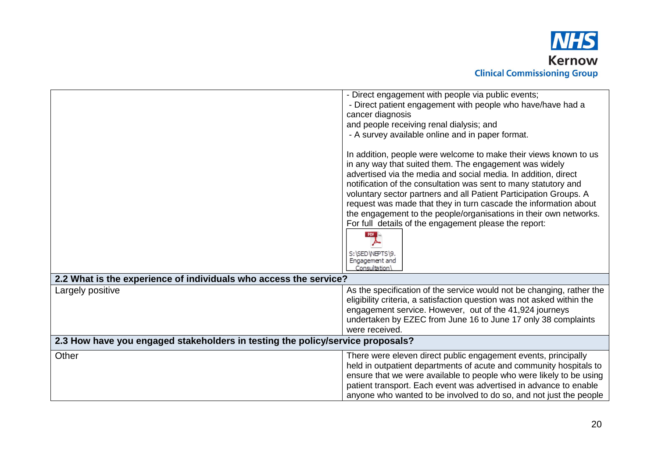

|                                                                                | - Direct engagement with people via public events;                                                                                   |
|--------------------------------------------------------------------------------|--------------------------------------------------------------------------------------------------------------------------------------|
|                                                                                | - Direct patient engagement with people who have/have had a                                                                          |
|                                                                                | cancer diagnosis                                                                                                                     |
|                                                                                | and people receiving renal dialysis; and                                                                                             |
|                                                                                | - A survey available online and in paper format.                                                                                     |
|                                                                                | In addition, people were welcome to make their views known to us                                                                     |
|                                                                                | in any way that suited them. The engagement was widely                                                                               |
|                                                                                | advertised via the media and social media. In addition, direct                                                                       |
|                                                                                | notification of the consultation was sent to many statutory and<br>voluntary sector partners and all Patient Participation Groups. A |
|                                                                                | request was made that they in turn cascade the information about                                                                     |
|                                                                                | the engagement to the people/organisations in their own networks.                                                                    |
|                                                                                | For full details of the engagement please the report:                                                                                |
|                                                                                | PDF                                                                                                                                  |
|                                                                                |                                                                                                                                      |
|                                                                                | S:\SED\NEPTS\9.<br>Engagement and                                                                                                    |
|                                                                                | Consultation <sup>1</sup>                                                                                                            |
| 2.2 What is the experience of individuals who access the service?              |                                                                                                                                      |
| Largely positive                                                               | As the specification of the service would not be changing, rather the                                                                |
|                                                                                | eligibility criteria, a satisfaction question was not asked within the                                                               |
|                                                                                | engagement service. However, out of the 41,924 journeys                                                                              |
|                                                                                | undertaken by EZEC from June 16 to June 17 only 38 complaints                                                                        |
|                                                                                | were received.                                                                                                                       |
| 2.3 How have you engaged stakeholders in testing the policy/service proposals? |                                                                                                                                      |
| Other                                                                          | There were eleven direct public engagement events, principally                                                                       |
|                                                                                | held in outpatient departments of acute and community hospitals to                                                                   |
|                                                                                | ensure that we were available to people who were likely to be using                                                                  |
|                                                                                | patient transport. Each event was advertised in advance to enable                                                                    |
|                                                                                | anyone who wanted to be involved to do so, and not just the people                                                                   |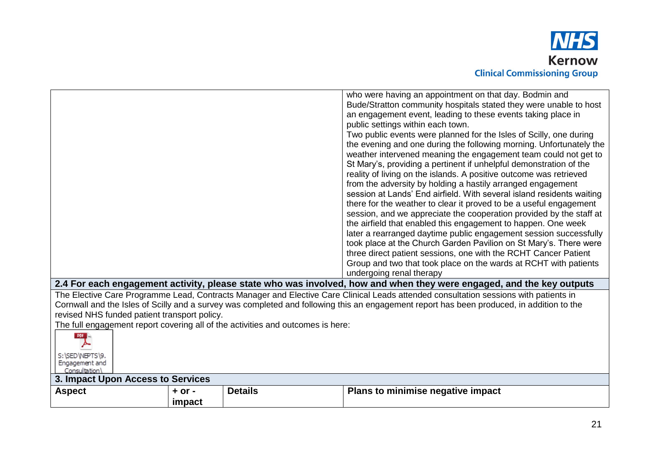

|                                                                                 |                | who were having an appointment on that day. Bodmin and                                                                                    |
|---------------------------------------------------------------------------------|----------------|-------------------------------------------------------------------------------------------------------------------------------------------|
|                                                                                 |                | Bude/Stratton community hospitals stated they were unable to host                                                                         |
|                                                                                 |                | an engagement event, leading to these events taking place in                                                                              |
|                                                                                 |                | public settings within each town.                                                                                                         |
|                                                                                 |                | Two public events were planned for the Isles of Scilly, one during                                                                        |
|                                                                                 |                | the evening and one during the following morning. Unfortunately the                                                                       |
|                                                                                 |                | weather intervened meaning the engagement team could not get to                                                                           |
|                                                                                 |                | St Mary's, providing a pertinent if unhelpful demonstration of the                                                                        |
|                                                                                 |                | reality of living on the islands. A positive outcome was retrieved                                                                        |
|                                                                                 |                | from the adversity by holding a hastily arranged engagement                                                                               |
|                                                                                 |                | session at Lands' End airfield. With several island residents waiting                                                                     |
|                                                                                 |                | there for the weather to clear it proved to be a useful engagement                                                                        |
|                                                                                 |                | session, and we appreciate the cooperation provided by the staff at                                                                       |
|                                                                                 |                | the airfield that enabled this engagement to happen. One week                                                                             |
|                                                                                 |                | later a rearranged daytime public engagement session successfully                                                                         |
|                                                                                 |                | took place at the Church Garden Pavilion on St Mary's. There were                                                                         |
|                                                                                 |                | three direct patient sessions, one with the RCHT Cancer Patient                                                                           |
|                                                                                 |                | Group and two that took place on the wards at RCHT with patients                                                                          |
|                                                                                 |                | undergoing renal therapy                                                                                                                  |
|                                                                                 |                | 2.4 For each engagement activity, please state who was involved, how and when they were engaged, and the key outputs                      |
|                                                                                 |                | The Elective Care Programme Lead, Contracts Manager and Elective Care Clinical Leads attended consultation sessions with patients in      |
|                                                                                 |                | Cornwall and the Isles of Scilly and a survey was completed and following this an engagement report has been produced, in addition to the |
| revised NHS funded patient transport policy.                                    |                |                                                                                                                                           |
| The full engagement report covering all of the activities and outcomes is here: |                |                                                                                                                                           |
| PDF E                                                                           |                |                                                                                                                                           |
|                                                                                 |                |                                                                                                                                           |
| S:\SED\NEPTS\9.                                                                 |                |                                                                                                                                           |
| Engagement and<br>Consultation <sup>1</sup>                                     |                |                                                                                                                                           |
| 3. Impact Upon Access to Services                                               |                |                                                                                                                                           |
| <b>Aspect</b><br>$+$ or $-$                                                     | <b>Details</b> | Plans to minimise negative impact                                                                                                         |
| impact                                                                          |                |                                                                                                                                           |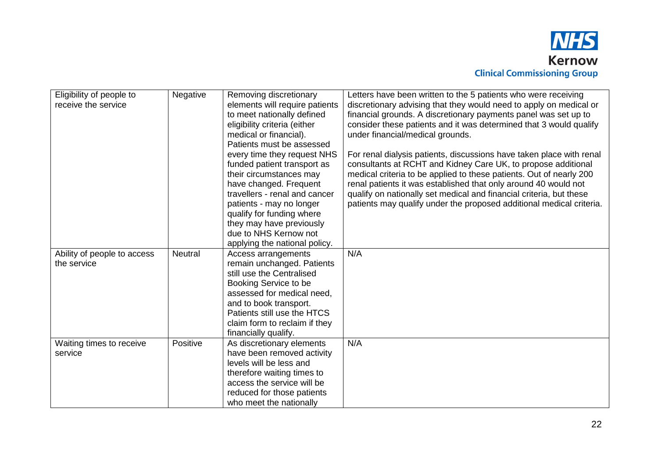

| Eligibility of people to<br>receive the service | Negative       | Removing discretionary<br>elements will require patients<br>to meet nationally defined<br>eligibility criteria (either<br>medical or financial).<br>Patients must be assessed<br>every time they request NHS<br>funded patient transport as<br>their circumstances may<br>have changed. Frequent<br>travellers - renal and cancer<br>patients - may no longer<br>qualify for funding where<br>they may have previously<br>due to NHS Kernow not | Letters have been written to the 5 patients who were receiving<br>discretionary advising that they would need to apply on medical or<br>financial grounds. A discretionary payments panel was set up to<br>consider these patients and it was determined that 3 would qualify<br>under financial/medical grounds.<br>For renal dialysis patients, discussions have taken place with renal<br>consultants at RCHT and Kidney Care UK, to propose additional<br>medical criteria to be applied to these patients. Out of nearly 200<br>renal patients it was established that only around 40 would not<br>qualify on nationally set medical and financial criteria, but these<br>patients may qualify under the proposed additional medical criteria. |
|-------------------------------------------------|----------------|-------------------------------------------------------------------------------------------------------------------------------------------------------------------------------------------------------------------------------------------------------------------------------------------------------------------------------------------------------------------------------------------------------------------------------------------------|-----------------------------------------------------------------------------------------------------------------------------------------------------------------------------------------------------------------------------------------------------------------------------------------------------------------------------------------------------------------------------------------------------------------------------------------------------------------------------------------------------------------------------------------------------------------------------------------------------------------------------------------------------------------------------------------------------------------------------------------------------|
|                                                 |                | applying the national policy.                                                                                                                                                                                                                                                                                                                                                                                                                   |                                                                                                                                                                                                                                                                                                                                                                                                                                                                                                                                                                                                                                                                                                                                                     |
| Ability of people to access                     | <b>Neutral</b> | Access arrangements                                                                                                                                                                                                                                                                                                                                                                                                                             | N/A                                                                                                                                                                                                                                                                                                                                                                                                                                                                                                                                                                                                                                                                                                                                                 |
| the service                                     |                | remain unchanged. Patients                                                                                                                                                                                                                                                                                                                                                                                                                      |                                                                                                                                                                                                                                                                                                                                                                                                                                                                                                                                                                                                                                                                                                                                                     |
|                                                 |                | still use the Centralised                                                                                                                                                                                                                                                                                                                                                                                                                       |                                                                                                                                                                                                                                                                                                                                                                                                                                                                                                                                                                                                                                                                                                                                                     |
|                                                 |                | Booking Service to be                                                                                                                                                                                                                                                                                                                                                                                                                           |                                                                                                                                                                                                                                                                                                                                                                                                                                                                                                                                                                                                                                                                                                                                                     |
|                                                 |                | assessed for medical need,                                                                                                                                                                                                                                                                                                                                                                                                                      |                                                                                                                                                                                                                                                                                                                                                                                                                                                                                                                                                                                                                                                                                                                                                     |
|                                                 |                | and to book transport.                                                                                                                                                                                                                                                                                                                                                                                                                          |                                                                                                                                                                                                                                                                                                                                                                                                                                                                                                                                                                                                                                                                                                                                                     |
|                                                 |                | Patients still use the HTCS                                                                                                                                                                                                                                                                                                                                                                                                                     |                                                                                                                                                                                                                                                                                                                                                                                                                                                                                                                                                                                                                                                                                                                                                     |
|                                                 |                | claim form to reclaim if they                                                                                                                                                                                                                                                                                                                                                                                                                   |                                                                                                                                                                                                                                                                                                                                                                                                                                                                                                                                                                                                                                                                                                                                                     |
|                                                 |                | financially qualify.                                                                                                                                                                                                                                                                                                                                                                                                                            |                                                                                                                                                                                                                                                                                                                                                                                                                                                                                                                                                                                                                                                                                                                                                     |
| Waiting times to receive                        | Positive       | As discretionary elements                                                                                                                                                                                                                                                                                                                                                                                                                       | N/A                                                                                                                                                                                                                                                                                                                                                                                                                                                                                                                                                                                                                                                                                                                                                 |
| service                                         |                | have been removed activity                                                                                                                                                                                                                                                                                                                                                                                                                      |                                                                                                                                                                                                                                                                                                                                                                                                                                                                                                                                                                                                                                                                                                                                                     |
|                                                 |                | levels will be less and                                                                                                                                                                                                                                                                                                                                                                                                                         |                                                                                                                                                                                                                                                                                                                                                                                                                                                                                                                                                                                                                                                                                                                                                     |
|                                                 |                | therefore waiting times to                                                                                                                                                                                                                                                                                                                                                                                                                      |                                                                                                                                                                                                                                                                                                                                                                                                                                                                                                                                                                                                                                                                                                                                                     |
|                                                 |                | access the service will be                                                                                                                                                                                                                                                                                                                                                                                                                      |                                                                                                                                                                                                                                                                                                                                                                                                                                                                                                                                                                                                                                                                                                                                                     |
|                                                 |                | reduced for those patients                                                                                                                                                                                                                                                                                                                                                                                                                      |                                                                                                                                                                                                                                                                                                                                                                                                                                                                                                                                                                                                                                                                                                                                                     |
|                                                 |                | who meet the nationally                                                                                                                                                                                                                                                                                                                                                                                                                         |                                                                                                                                                                                                                                                                                                                                                                                                                                                                                                                                                                                                                                                                                                                                                     |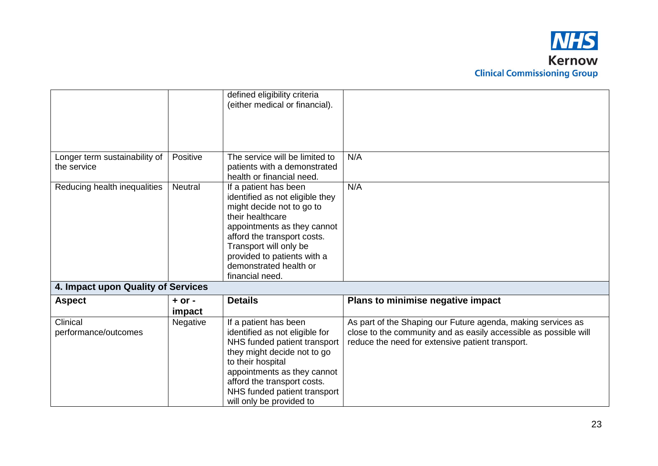

|                                              |                      | defined eligibility criteria<br>(either medical or financial).                                                                                                                                                                                                                |                                                                                                                                                                                      |
|----------------------------------------------|----------------------|-------------------------------------------------------------------------------------------------------------------------------------------------------------------------------------------------------------------------------------------------------------------------------|--------------------------------------------------------------------------------------------------------------------------------------------------------------------------------------|
|                                              |                      |                                                                                                                                                                                                                                                                               |                                                                                                                                                                                      |
| Longer term sustainability of<br>the service | Positive             | The service will be limited to<br>patients with a demonstrated<br>health or financial need.                                                                                                                                                                                   | N/A                                                                                                                                                                                  |
| Reducing health inequalities                 | <b>Neutral</b>       | If a patient has been<br>identified as not eligible they<br>might decide not to go to<br>their healthcare<br>appointments as they cannot<br>afford the transport costs.<br>Transport will only be<br>provided to patients with a<br>demonstrated health or<br>financial need. | N/A                                                                                                                                                                                  |
| 4. Impact upon Quality of Services           |                      |                                                                                                                                                                                                                                                                               |                                                                                                                                                                                      |
| <b>Aspect</b>                                | $+$ or $-$<br>impact | <b>Details</b>                                                                                                                                                                                                                                                                | Plans to minimise negative impact                                                                                                                                                    |
| Clinical<br>performance/outcomes             | Negative             | If a patient has been<br>identified as not eligible for<br>NHS funded patient transport<br>they might decide not to go<br>to their hospital<br>appointments as they cannot<br>afford the transport costs.<br>NHS funded patient transport<br>will only be provided to         | As part of the Shaping our Future agenda, making services as<br>close to the community and as easily accessible as possible will<br>reduce the need for extensive patient transport. |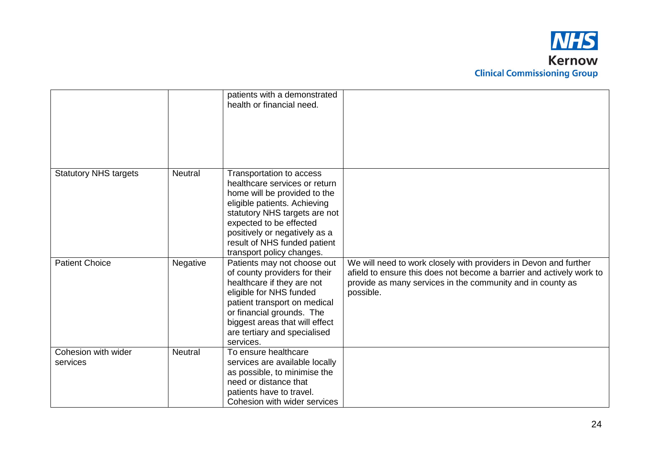

|                                 |                | patients with a demonstrated<br>health or financial need.                                                                                                                                                                                                                           |                                                                                                                                                                                                                     |
|---------------------------------|----------------|-------------------------------------------------------------------------------------------------------------------------------------------------------------------------------------------------------------------------------------------------------------------------------------|---------------------------------------------------------------------------------------------------------------------------------------------------------------------------------------------------------------------|
|                                 |                |                                                                                                                                                                                                                                                                                     |                                                                                                                                                                                                                     |
| <b>Statutory NHS targets</b>    | <b>Neutral</b> | Transportation to access<br>healthcare services or return<br>home will be provided to the<br>eligible patients. Achieving<br>statutory NHS targets are not<br>expected to be effected<br>positively or negatively as a<br>result of NHS funded patient<br>transport policy changes. |                                                                                                                                                                                                                     |
| <b>Patient Choice</b>           | Negative       | Patients may not choose out<br>of county providers for their<br>healthcare if they are not<br>eligible for NHS funded<br>patient transport on medical<br>or financial grounds. The<br>biggest areas that will effect<br>are tertiary and specialised<br>services.                   | We will need to work closely with providers in Devon and further<br>afield to ensure this does not become a barrier and actively work to<br>provide as many services in the community and in county as<br>possible. |
| Cohesion with wider<br>services | <b>Neutral</b> | To ensure healthcare<br>services are available locally<br>as possible, to minimise the<br>need or distance that<br>patients have to travel.<br>Cohesion with wider services                                                                                                         |                                                                                                                                                                                                                     |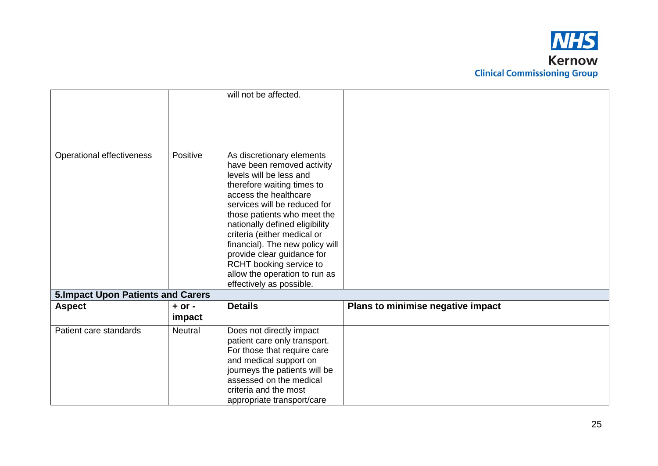

|                                          |                      | will not be affected.                                                                                                                                                                                                                                                                                                                                                                                                              |                                   |
|------------------------------------------|----------------------|------------------------------------------------------------------------------------------------------------------------------------------------------------------------------------------------------------------------------------------------------------------------------------------------------------------------------------------------------------------------------------------------------------------------------------|-----------------------------------|
| Operational effectiveness                | Positive             | As discretionary elements<br>have been removed activity<br>levels will be less and<br>therefore waiting times to<br>access the healthcare<br>services will be reduced for<br>those patients who meet the<br>nationally defined eligibility<br>criteria (either medical or<br>financial). The new policy will<br>provide clear guidance for<br>RCHT booking service to<br>allow the operation to run as<br>effectively as possible. |                                   |
| <b>5.Impact Upon Patients and Carers</b> |                      |                                                                                                                                                                                                                                                                                                                                                                                                                                    |                                   |
| <b>Aspect</b>                            | $+$ or $-$<br>impact | <b>Details</b>                                                                                                                                                                                                                                                                                                                                                                                                                     | Plans to minimise negative impact |
| Patient care standards                   | <b>Neutral</b>       | Does not directly impact<br>patient care only transport.<br>For those that require care<br>and medical support on<br>journeys the patients will be<br>assessed on the medical<br>criteria and the most<br>appropriate transport/care                                                                                                                                                                                               |                                   |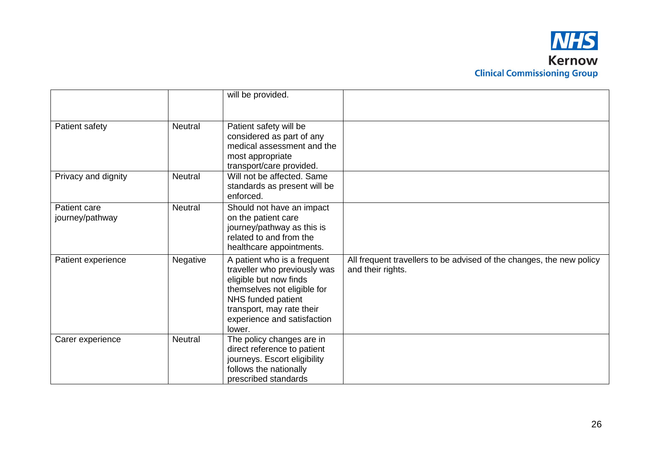

|                                 |                | will be provided.                                                                                                                                                                                                |                                                                                           |
|---------------------------------|----------------|------------------------------------------------------------------------------------------------------------------------------------------------------------------------------------------------------------------|-------------------------------------------------------------------------------------------|
| Patient safety                  | <b>Neutral</b> | Patient safety will be<br>considered as part of any<br>medical assessment and the<br>most appropriate<br>transport/care provided.                                                                                |                                                                                           |
| Privacy and dignity             | <b>Neutral</b> | Will not be affected. Same<br>standards as present will be<br>enforced.                                                                                                                                          |                                                                                           |
| Patient care<br>journey/pathway | <b>Neutral</b> | Should not have an impact<br>on the patient care<br>journey/pathway as this is<br>related to and from the<br>healthcare appointments.                                                                            |                                                                                           |
| Patient experience              | Negative       | A patient who is a frequent<br>traveller who previously was<br>eligible but now finds<br>themselves not eligible for<br>NHS funded patient<br>transport, may rate their<br>experience and satisfaction<br>lower. | All frequent travellers to be advised of the changes, the new policy<br>and their rights. |
| Carer experience                | <b>Neutral</b> | The policy changes are in<br>direct reference to patient<br>journeys. Escort eligibility<br>follows the nationally<br>prescribed standards                                                                       |                                                                                           |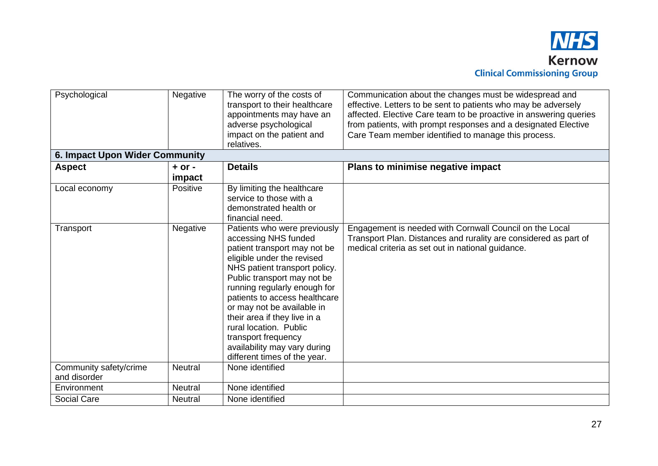

| Psychological                          | Negative             | The worry of the costs of<br>transport to their healthcare<br>appointments may have an<br>adverse psychological<br>impact on the patient and<br>relatives.                                                                                                                                                                                                                                                                         | Communication about the changes must be widespread and<br>effective. Letters to be sent to patients who may be adversely<br>affected. Elective Care team to be proactive in answering queries<br>from patients, with prompt responses and a designated Elective<br>Care Team member identified to manage this process. |
|----------------------------------------|----------------------|------------------------------------------------------------------------------------------------------------------------------------------------------------------------------------------------------------------------------------------------------------------------------------------------------------------------------------------------------------------------------------------------------------------------------------|------------------------------------------------------------------------------------------------------------------------------------------------------------------------------------------------------------------------------------------------------------------------------------------------------------------------|
| 6. Impact Upon Wider Community         |                      |                                                                                                                                                                                                                                                                                                                                                                                                                                    |                                                                                                                                                                                                                                                                                                                        |
| <b>Aspect</b>                          | $+$ or $-$<br>impact | <b>Details</b>                                                                                                                                                                                                                                                                                                                                                                                                                     | Plans to minimise negative impact                                                                                                                                                                                                                                                                                      |
| Local economy                          | Positive             | By limiting the healthcare<br>service to those with a<br>demonstrated health or<br>financial need.                                                                                                                                                                                                                                                                                                                                 |                                                                                                                                                                                                                                                                                                                        |
| Transport                              | Negative             | Patients who were previously<br>accessing NHS funded<br>patient transport may not be<br>eligible under the revised<br>NHS patient transport policy.<br>Public transport may not be<br>running regularly enough for<br>patients to access healthcare<br>or may not be available in<br>their area if they live in a<br>rural location. Public<br>transport frequency<br>availability may vary during<br>different times of the year. | Engagement is needed with Cornwall Council on the Local<br>Transport Plan. Distances and rurality are considered as part of<br>medical criteria as set out in national guidance.                                                                                                                                       |
| Community safety/crime<br>and disorder | <b>Neutral</b>       | None identified                                                                                                                                                                                                                                                                                                                                                                                                                    |                                                                                                                                                                                                                                                                                                                        |
| Environment                            | Neutral              | None identified                                                                                                                                                                                                                                                                                                                                                                                                                    |                                                                                                                                                                                                                                                                                                                        |
| Social Care                            | <b>Neutral</b>       | None identified                                                                                                                                                                                                                                                                                                                                                                                                                    |                                                                                                                                                                                                                                                                                                                        |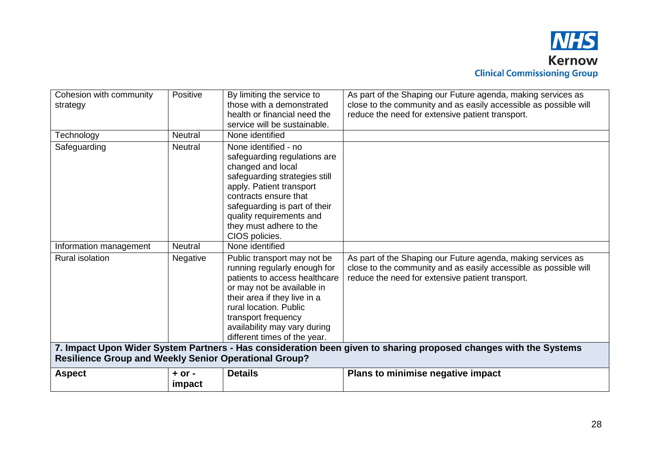

| Cohesion with community<br>strategy                          | Positive             | By limiting the service to<br>those with a demonstrated<br>health or financial need the<br>service will be sustainable.                                                                                                                                                     | As part of the Shaping our Future agenda, making services as<br>close to the community and as easily accessible as possible will<br>reduce the need for extensive patient transport.                                                                                                                     |
|--------------------------------------------------------------|----------------------|-----------------------------------------------------------------------------------------------------------------------------------------------------------------------------------------------------------------------------------------------------------------------------|----------------------------------------------------------------------------------------------------------------------------------------------------------------------------------------------------------------------------------------------------------------------------------------------------------|
| Technology                                                   | <b>Neutral</b>       | None identified                                                                                                                                                                                                                                                             |                                                                                                                                                                                                                                                                                                          |
| Safeguarding                                                 | <b>Neutral</b>       | None identified - no<br>safeguarding regulations are<br>changed and local<br>safeguarding strategies still<br>apply. Patient transport<br>contracts ensure that<br>safeguarding is part of their<br>quality requirements and<br>they must adhere to the<br>CIOS policies.   |                                                                                                                                                                                                                                                                                                          |
| Information management                                       | <b>Neutral</b>       | None identified                                                                                                                                                                                                                                                             |                                                                                                                                                                                                                                                                                                          |
| <b>Rural isolation</b>                                       | Negative             | Public transport may not be<br>running regularly enough for<br>patients to access healthcare<br>or may not be available in<br>their area if they live in a<br>rural location. Public<br>transport frequency<br>availability may vary during<br>different times of the year. | As part of the Shaping our Future agenda, making services as<br>close to the community and as easily accessible as possible will<br>reduce the need for extensive patient transport.<br>7. Impact Upon Wider System Partners - Has consideration been given to sharing proposed changes with the Systems |
| <b>Resilience Group and Weekly Senior Operational Group?</b> |                      |                                                                                                                                                                                                                                                                             |                                                                                                                                                                                                                                                                                                          |
| <b>Aspect</b>                                                | $+$ or $-$<br>impact | <b>Details</b>                                                                                                                                                                                                                                                              | Plans to minimise negative impact                                                                                                                                                                                                                                                                        |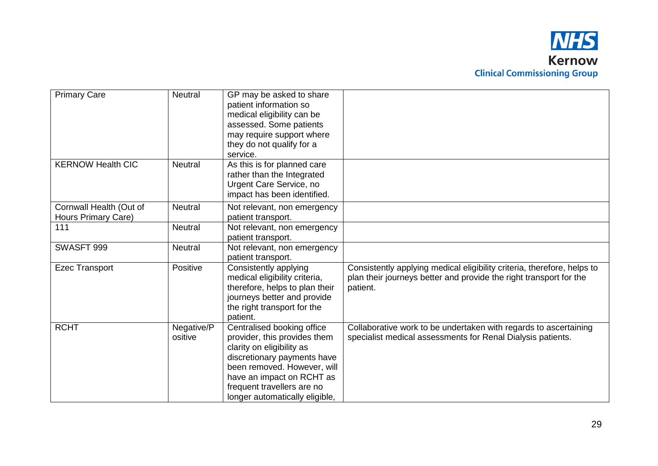

| <b>Primary Care</b>                            | <b>Neutral</b>        | GP may be asked to share<br>patient information so<br>medical eligibility can be<br>assessed. Some patients<br>may require support where<br>they do not qualify for a<br>service.                                                                  |                                                                                                                                                           |
|------------------------------------------------|-----------------------|----------------------------------------------------------------------------------------------------------------------------------------------------------------------------------------------------------------------------------------------------|-----------------------------------------------------------------------------------------------------------------------------------------------------------|
| <b>KERNOW Health CIC</b>                       | <b>Neutral</b>        | As this is for planned care<br>rather than the Integrated<br>Urgent Care Service, no<br>impact has been identified.                                                                                                                                |                                                                                                                                                           |
| Cornwall Health (Out of<br>Hours Primary Care) | <b>Neutral</b>        | Not relevant, non emergency<br>patient transport.                                                                                                                                                                                                  |                                                                                                                                                           |
| 111                                            | <b>Neutral</b>        | Not relevant, non emergency<br>patient transport.                                                                                                                                                                                                  |                                                                                                                                                           |
| SWASFT 999                                     | <b>Neutral</b>        | Not relevant, non emergency<br>patient transport.                                                                                                                                                                                                  |                                                                                                                                                           |
| <b>Ezec Transport</b>                          | Positive              | Consistently applying<br>medical eligibility criteria,<br>therefore, helps to plan their<br>journeys better and provide<br>the right transport for the<br>patient.                                                                                 | Consistently applying medical eligibility criteria, therefore, helps to<br>plan their journeys better and provide the right transport for the<br>patient. |
| <b>RCHT</b>                                    | Negative/P<br>ositive | Centralised booking office<br>provider, this provides them<br>clarity on eligibility as<br>discretionary payments have<br>been removed. However, will<br>have an impact on RCHT as<br>frequent travellers are no<br>longer automatically eligible, | Collaborative work to be undertaken with regards to ascertaining<br>specialist medical assessments for Renal Dialysis patients.                           |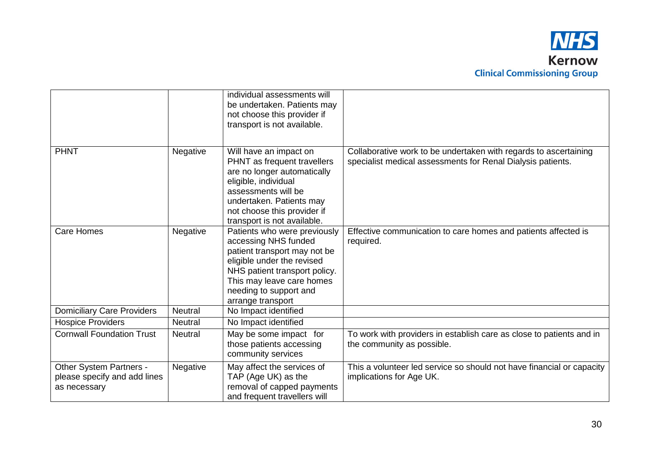

|                                                                         |                | individual assessments will<br>be undertaken. Patients may<br>not choose this provider if<br>transport is not available.                                                                                                        |                                                                                                                                 |
|-------------------------------------------------------------------------|----------------|---------------------------------------------------------------------------------------------------------------------------------------------------------------------------------------------------------------------------------|---------------------------------------------------------------------------------------------------------------------------------|
| <b>PHNT</b>                                                             | Negative       | Will have an impact on<br>PHNT as frequent travellers<br>are no longer automatically<br>eligible, individual<br>assessments will be<br>undertaken. Patients may<br>not choose this provider if<br>transport is not available.   | Collaborative work to be undertaken with regards to ascertaining<br>specialist medical assessments for Renal Dialysis patients. |
| <b>Care Homes</b>                                                       | Negative       | Patients who were previously<br>accessing NHS funded<br>patient transport may not be<br>eligible under the revised<br>NHS patient transport policy.<br>This may leave care homes<br>needing to support and<br>arrange transport | Effective communication to care homes and patients affected is<br>required.                                                     |
| <b>Domiciliary Care Providers</b>                                       | <b>Neutral</b> | No Impact identified                                                                                                                                                                                                            |                                                                                                                                 |
| <b>Hospice Providers</b>                                                | <b>Neutral</b> | No Impact identified                                                                                                                                                                                                            |                                                                                                                                 |
| <b>Cornwall Foundation Trust</b>                                        | <b>Neutral</b> | May be some impact for<br>those patients accessing<br>community services                                                                                                                                                        | To work with providers in establish care as close to patients and in<br>the community as possible.                              |
| Other System Partners -<br>please specify and add lines<br>as necessary | Negative       | May affect the services of<br>TAP (Age UK) as the<br>removal of capped payments<br>and frequent travellers will                                                                                                                 | This a volunteer led service so should not have financial or capacity<br>implications for Age UK.                               |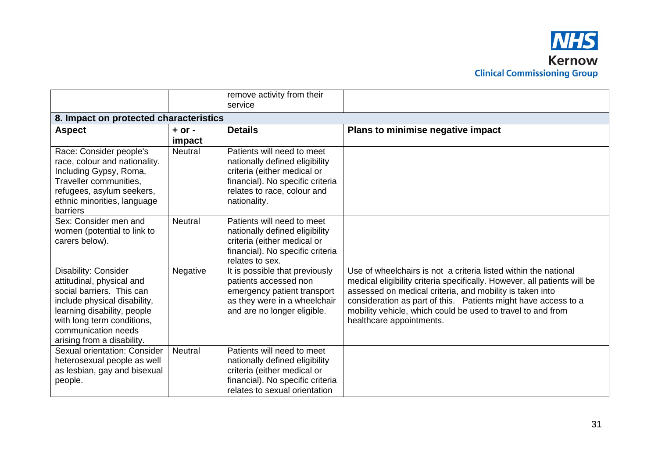|                                                                                                                                                                                                                                  |                      | remove activity from their<br>service                                                                                                                                          |                                                                                                                                                                                                                                                                                                                                                                       |
|----------------------------------------------------------------------------------------------------------------------------------------------------------------------------------------------------------------------------------|----------------------|--------------------------------------------------------------------------------------------------------------------------------------------------------------------------------|-----------------------------------------------------------------------------------------------------------------------------------------------------------------------------------------------------------------------------------------------------------------------------------------------------------------------------------------------------------------------|
| 8. Impact on protected characteristics                                                                                                                                                                                           |                      |                                                                                                                                                                                |                                                                                                                                                                                                                                                                                                                                                                       |
| <b>Aspect</b>                                                                                                                                                                                                                    | $+$ or $-$<br>impact | <b>Details</b>                                                                                                                                                                 | Plans to minimise negative impact                                                                                                                                                                                                                                                                                                                                     |
| Race: Consider people's<br>race, colour and nationality.<br>Including Gypsy, Roma,<br>Traveller communities,<br>refugees, asylum seekers,<br>ethnic minorities, language<br>barriers                                             | <b>Neutral</b>       | Patients will need to meet<br>nationally defined eligibility<br>criteria (either medical or<br>financial). No specific criteria<br>relates to race, colour and<br>nationality. |                                                                                                                                                                                                                                                                                                                                                                       |
| Sex: Consider men and<br>women (potential to link to<br>carers below).                                                                                                                                                           | <b>Neutral</b>       | Patients will need to meet<br>nationally defined eligibility<br>criteria (either medical or<br>financial). No specific criteria<br>relates to sex.                             |                                                                                                                                                                                                                                                                                                                                                                       |
| Disability: Consider<br>attitudinal, physical and<br>social barriers. This can<br>include physical disability,<br>learning disability, people<br>with long term conditions,<br>communication needs<br>arising from a disability. | Negative             | It is possible that previously<br>patients accessed non<br>emergency patient transport<br>as they were in a wheelchair<br>and are no longer eligible.                          | Use of wheelchairs is not a criteria listed within the national<br>medical eligibility criteria specifically. However, all patients will be<br>assessed on medical criteria, and mobility is taken into<br>consideration as part of this.  Patients might have access to a<br>mobility vehicle, which could be used to travel to and from<br>healthcare appointments. |
| Sexual orientation: Consider<br>heterosexual people as well<br>as lesbian, gay and bisexual<br>people.                                                                                                                           | <b>Neutral</b>       | Patients will need to meet<br>nationally defined eligibility<br>criteria (either medical or<br>financial). No specific criteria<br>relates to sexual orientation               |                                                                                                                                                                                                                                                                                                                                                                       |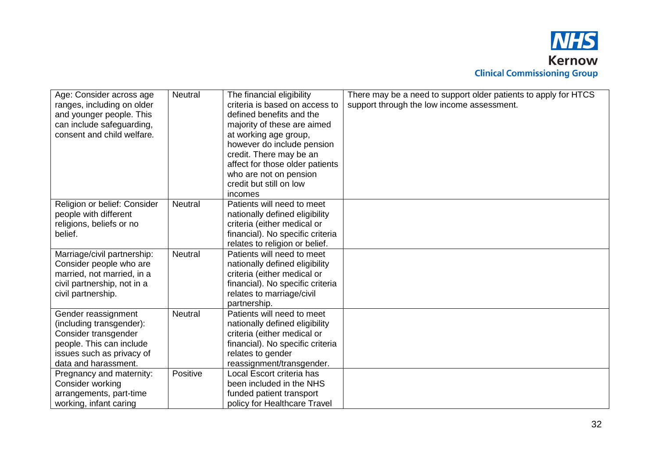

| Age: Consider across age<br>ranges, including on older<br>and younger people. This<br>can include safeguarding,<br>consent and child welfare.            | Neutral        | The financial eligibility<br>criteria is based on access to<br>defined benefits and the<br>majority of these are aimed<br>at working age group,<br>however do include pension<br>credit. There may be an<br>affect for those older patients | There may be a need to support older patients to apply for HTCS<br>support through the low income assessment. |
|----------------------------------------------------------------------------------------------------------------------------------------------------------|----------------|---------------------------------------------------------------------------------------------------------------------------------------------------------------------------------------------------------------------------------------------|---------------------------------------------------------------------------------------------------------------|
|                                                                                                                                                          |                | who are not on pension<br>credit but still on low<br>incomes                                                                                                                                                                                |                                                                                                               |
| Religion or belief: Consider<br>people with different<br>religions, beliefs or no<br>belief.                                                             | <b>Neutral</b> | Patients will need to meet<br>nationally defined eligibility<br>criteria (either medical or<br>financial). No specific criteria<br>relates to religion or belief.                                                                           |                                                                                                               |
| Marriage/civil partnership:<br>Consider people who are<br>married, not married, in a<br>civil partnership, not in a<br>civil partnership.                | <b>Neutral</b> | Patients will need to meet<br>nationally defined eligibility<br>criteria (either medical or<br>financial). No specific criteria<br>relates to marriage/civil<br>partnership.                                                                |                                                                                                               |
| Gender reassignment<br>(including transgender):<br>Consider transgender<br>people. This can include<br>issues such as privacy of<br>data and harassment. | <b>Neutral</b> | Patients will need to meet<br>nationally defined eligibility<br>criteria (either medical or<br>financial). No specific criteria<br>relates to gender<br>reassignment/transgender.                                                           |                                                                                                               |
| Pregnancy and maternity:<br>Consider working<br>arrangements, part-time<br>working, infant caring                                                        | Positive       | Local Escort criteria has<br>been included in the NHS<br>funded patient transport<br>policy for Healthcare Travel                                                                                                                           |                                                                                                               |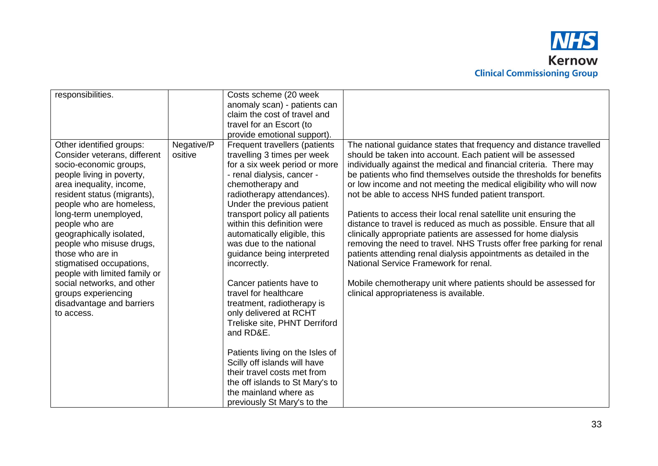

| responsibilities.             |            | Costs scheme (20 week           |                                                                      |
|-------------------------------|------------|---------------------------------|----------------------------------------------------------------------|
|                               |            |                                 |                                                                      |
|                               |            | anomaly scan) - patients can    |                                                                      |
|                               |            | claim the cost of travel and    |                                                                      |
|                               |            | travel for an Escort (to        |                                                                      |
|                               |            | provide emotional support).     |                                                                      |
| Other identified groups:      | Negative/P | Frequent travellers (patients   | The national guidance states that frequency and distance travelled   |
| Consider veterans, different  | ositive    | travelling 3 times per week     | should be taken into account. Each patient will be assessed          |
| socio-economic groups,        |            | for a six week period or more   | individually against the medical and financial criteria. There may   |
| people living in poverty,     |            | - renal dialysis, cancer -      | be patients who find themselves outside the thresholds for benefits  |
| area inequality, income,      |            | chemotherapy and                | or low income and not meeting the medical eligibility who will now   |
| resident status (migrants),   |            | radiotherapy attendances).      | not be able to access NHS funded patient transport.                  |
| people who are homeless,      |            | Under the previous patient      |                                                                      |
| long-term unemployed,         |            | transport policy all patients   | Patients to access their local renal satellite unit ensuring the     |
| people who are                |            | within this definition were     | distance to travel is reduced as much as possible. Ensure that all   |
| geographically isolated,      |            | automatically eligible, this    | clinically appropriate patients are assessed for home dialysis       |
| people who misuse drugs,      |            | was due to the national         | removing the need to travel. NHS Trusts offer free parking for renal |
| those who are in              |            | guidance being interpreted      | patients attending renal dialysis appointments as detailed in the    |
| stigmatised occupations,      |            | incorrectly.                    | National Service Framework for renal.                                |
| people with limited family or |            |                                 |                                                                      |
| social networks, and other    |            | Cancer patients have to         | Mobile chemotherapy unit where patients should be assessed for       |
| groups experiencing           |            | travel for healthcare           | clinical appropriateness is available.                               |
| disadvantage and barriers     |            | treatment, radiotherapy is      |                                                                      |
| to access.                    |            | only delivered at RCHT          |                                                                      |
|                               |            | Treliske site, PHNT Derriford   |                                                                      |
|                               |            | and RD&E.                       |                                                                      |
|                               |            |                                 |                                                                      |
|                               |            | Patients living on the Isles of |                                                                      |
|                               |            | Scilly off islands will have    |                                                                      |
|                               |            | their travel costs met from     |                                                                      |
|                               |            |                                 |                                                                      |
|                               |            | the off islands to St Mary's to |                                                                      |
|                               |            | the mainland where as           |                                                                      |
|                               |            | previously St Mary's to the     |                                                                      |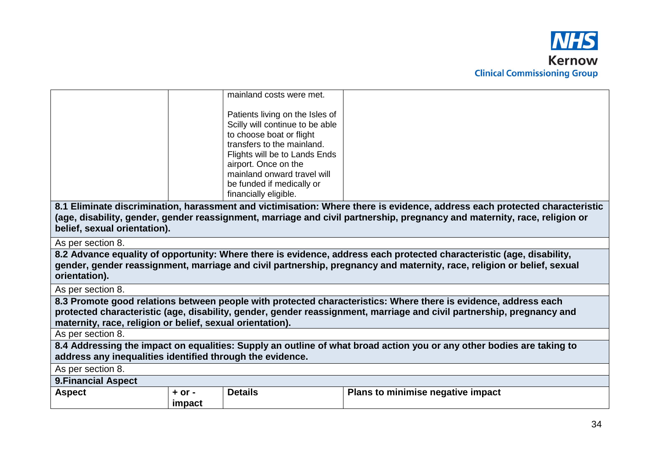

| mainland costs were met.                                                                                                                                                                                                                                                   |  |
|----------------------------------------------------------------------------------------------------------------------------------------------------------------------------------------------------------------------------------------------------------------------------|--|
| Patients living on the Isles of<br>Scilly will continue to be able<br>to choose boat or flight<br>transfers to the mainland.<br>Flights will be to Lands Ends<br>airport. Once on the<br>mainland onward travel will<br>be funded if medically or<br>financially eligible. |  |
|                                                                                                                                                                                                                                                                            |  |

**8.1 Eliminate discrimination, harassment and victimisation: Where there is evidence, address each protected characteristic (age, disability, gender, gender reassignment, marriage and civil partnership, pregnancy and maternity, race, religion or belief, sexual orientation).**

As per section 8.

**8.2 Advance equality of opportunity: Where there is evidence, address each protected characteristic (age, disability, gender, gender reassignment, marriage and civil partnership, pregnancy and maternity, race, religion or belief, sexual orientation).**

As per section 8.

**8.3 Promote good relations between people with protected characteristics: Where there is evidence, address each protected characteristic (age, disability, gender, gender reassignment, marriage and civil partnership, pregnancy and maternity, race, religion or belief, sexual orientation).**

As per section 8.

**8.4 Addressing the impact on equalities: Supply an outline of what broad action you or any other bodies are taking to address any inequalities identified through the evidence.**

As per section 8.

**9.Financial Aspect**

| <b>Aspect</b> | or.    | .<br><b>Details</b> | Plans to minimise negative impact |
|---------------|--------|---------------------|-----------------------------------|
|               | impact |                     |                                   |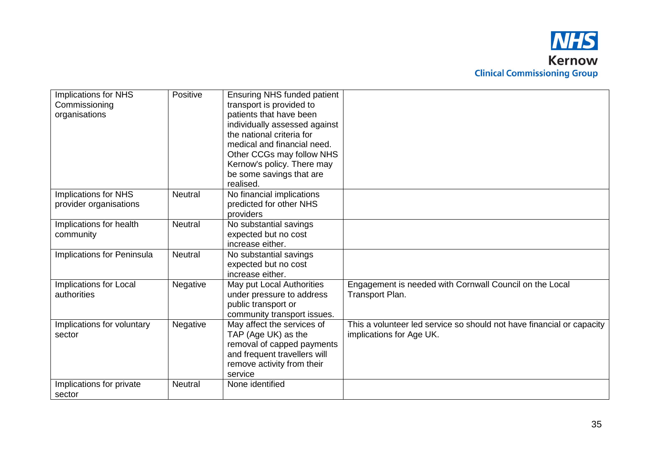

| <b>Implications for NHS</b> | Positive       | <b>Ensuring NHS funded patient</b> |                                                                       |
|-----------------------------|----------------|------------------------------------|-----------------------------------------------------------------------|
| Commissioning               |                | transport is provided to           |                                                                       |
| organisations               |                | patients that have been            |                                                                       |
|                             |                | individually assessed against      |                                                                       |
|                             |                | the national criteria for          |                                                                       |
|                             |                | medical and financial need.        |                                                                       |
|                             |                | Other CCGs may follow NHS          |                                                                       |
|                             |                | Kernow's policy. There may         |                                                                       |
|                             |                | be some savings that are           |                                                                       |
|                             |                | realised.                          |                                                                       |
| Implications for NHS        | <b>Neutral</b> | No financial implications          |                                                                       |
| provider organisations      |                | predicted for other NHS            |                                                                       |
|                             |                | providers                          |                                                                       |
| Implications for health     | <b>Neutral</b> | No substantial savings             |                                                                       |
| community                   |                | expected but no cost               |                                                                       |
|                             |                | increase either.                   |                                                                       |
| Implications for Peninsula  | <b>Neutral</b> | No substantial savings             |                                                                       |
|                             |                | expected but no cost               |                                                                       |
|                             |                | increase either.                   |                                                                       |
| Implications for Local      | Negative       | May put Local Authorities          | Engagement is needed with Cornwall Council on the Local               |
| authorities                 |                | under pressure to address          | Transport Plan.                                                       |
|                             |                | public transport or                |                                                                       |
|                             |                | community transport issues.        |                                                                       |
| Implications for voluntary  | Negative       | May affect the services of         | This a volunteer led service so should not have financial or capacity |
| sector                      |                | TAP (Age UK) as the                | implications for Age UK.                                              |
|                             |                | removal of capped payments         |                                                                       |
|                             |                | and frequent travellers will       |                                                                       |
|                             |                | remove activity from their         |                                                                       |
|                             |                | service                            |                                                                       |
| Implications for private    | Neutral        | None identified                    |                                                                       |
| sector                      |                |                                    |                                                                       |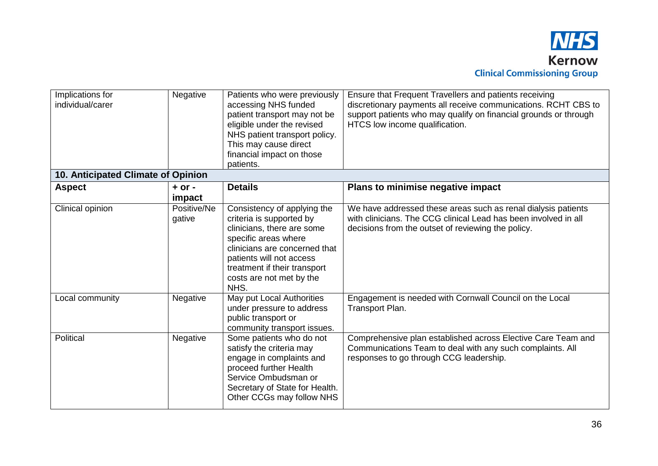

| Implications for<br>individual/carer | Negative              | Patients who were previously<br>accessing NHS funded<br>patient transport may not be<br>eligible under the revised<br>NHS patient transport policy.<br>This may cause direct<br>financial impact on those<br>patients.                         | Ensure that Frequent Travellers and patients receiving<br>discretionary payments all receive communications. RCHT CBS to<br>support patients who may qualify on financial grounds or through<br>HTCS low income qualification. |  |  |
|--------------------------------------|-----------------------|------------------------------------------------------------------------------------------------------------------------------------------------------------------------------------------------------------------------------------------------|--------------------------------------------------------------------------------------------------------------------------------------------------------------------------------------------------------------------------------|--|--|
| 10. Anticipated Climate of Opinion   |                       |                                                                                                                                                                                                                                                |                                                                                                                                                                                                                                |  |  |
| <b>Aspect</b>                        | $+$ or $-$<br>impact  | <b>Details</b>                                                                                                                                                                                                                                 | Plans to minimise negative impact                                                                                                                                                                                              |  |  |
| Clinical opinion                     | Positive/Ne<br>gative | Consistency of applying the<br>criteria is supported by<br>clinicians, there are some<br>specific areas where<br>clinicians are concerned that<br>patients will not access<br>treatment if their transport<br>costs are not met by the<br>NHS. | We have addressed these areas such as renal dialysis patients<br>with clinicians. The CCG clinical Lead has been involved in all<br>decisions from the outset of reviewing the policy.                                         |  |  |
| Local community                      | Negative              | May put Local Authorities<br>under pressure to address<br>public transport or<br>community transport issues.                                                                                                                                   | Engagement is needed with Cornwall Council on the Local<br>Transport Plan.                                                                                                                                                     |  |  |
| Political                            | Negative              | Some patients who do not<br>satisfy the criteria may<br>engage in complaints and<br>proceed further Health<br>Service Ombudsman or<br>Secretary of State for Health.<br>Other CCGs may follow NHS                                              | Comprehensive plan established across Elective Care Team and<br>Communications Team to deal with any such complaints. All<br>responses to go through CCG leadership.                                                           |  |  |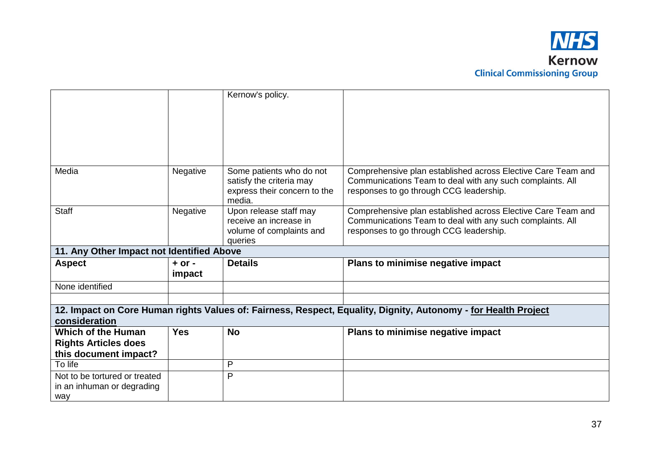

|                                                                                                                |            | Kernow's policy.                                     |                                                                                                                           |  |  |  |
|----------------------------------------------------------------------------------------------------------------|------------|------------------------------------------------------|---------------------------------------------------------------------------------------------------------------------------|--|--|--|
|                                                                                                                |            |                                                      |                                                                                                                           |  |  |  |
|                                                                                                                |            |                                                      |                                                                                                                           |  |  |  |
|                                                                                                                |            |                                                      |                                                                                                                           |  |  |  |
|                                                                                                                |            |                                                      |                                                                                                                           |  |  |  |
|                                                                                                                |            |                                                      |                                                                                                                           |  |  |  |
|                                                                                                                |            |                                                      |                                                                                                                           |  |  |  |
| Media                                                                                                          | Negative   | Some patients who do not<br>satisfy the criteria may | Comprehensive plan established across Elective Care Team and<br>Communications Team to deal with any such complaints. All |  |  |  |
|                                                                                                                |            | express their concern to the                         | responses to go through CCG leadership.                                                                                   |  |  |  |
|                                                                                                                |            | media.                                               |                                                                                                                           |  |  |  |
| <b>Staff</b>                                                                                                   | Negative   | Upon release staff may                               | Comprehensive plan established across Elective Care Team and                                                              |  |  |  |
|                                                                                                                |            | receive an increase in                               | Communications Team to deal with any such complaints. All                                                                 |  |  |  |
|                                                                                                                |            | volume of complaints and                             | responses to go through CCG leadership.                                                                                   |  |  |  |
|                                                                                                                |            | queries                                              |                                                                                                                           |  |  |  |
| 11. Any Other Impact not Identified Above                                                                      |            |                                                      |                                                                                                                           |  |  |  |
| <b>Aspect</b>                                                                                                  | $+$ or $-$ | <b>Details</b>                                       | Plans to minimise negative impact                                                                                         |  |  |  |
|                                                                                                                | impact     |                                                      |                                                                                                                           |  |  |  |
| None identified                                                                                                |            |                                                      |                                                                                                                           |  |  |  |
|                                                                                                                |            |                                                      |                                                                                                                           |  |  |  |
| 12. Impact on Core Human rights Values of: Fairness, Respect, Equality, Dignity, Autonomy - for Health Project |            |                                                      |                                                                                                                           |  |  |  |
| consideration                                                                                                  |            |                                                      |                                                                                                                           |  |  |  |
| <b>Which of the Human</b>                                                                                      | <b>Yes</b> | <b>No</b>                                            | Plans to minimise negative impact                                                                                         |  |  |  |
| <b>Rights Articles does</b>                                                                                    |            |                                                      |                                                                                                                           |  |  |  |
| this document impact?                                                                                          |            |                                                      |                                                                                                                           |  |  |  |
| To life                                                                                                        |            | P                                                    |                                                                                                                           |  |  |  |
| Not to be tortured or treated                                                                                  |            | P                                                    |                                                                                                                           |  |  |  |
| in an inhuman or degrading                                                                                     |            |                                                      |                                                                                                                           |  |  |  |
| way                                                                                                            |            |                                                      |                                                                                                                           |  |  |  |